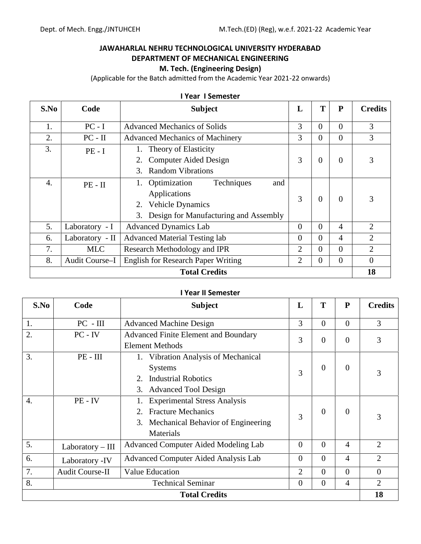$\overline{\phantom{a}}$ 

 $\sim$ 

 $\overline{a}$ 

 $\overline{a}$ 

 $\overline{ }$ 

 $\Gamma$ 

 $\sim$ 

### **JAWAHARLAL NEHRU TECHNOLOGICAL UNIVERSITY HYDERABAD DEPARTMENT OF MECHANICAL ENGINEERING M. Tech. (Engineering Design)**

(Applicable for the Batch admitted from the Academic Year 2021-22 onwards)

|                  |                 | TTEAT TSEITIESLEI                         |                |          |                |                |
|------------------|-----------------|-------------------------------------------|----------------|----------|----------------|----------------|
| S.No             | Code            | <b>Subject</b>                            | L              | T        | P              | <b>Credits</b> |
| 1.               | $PC - I$        | <b>Advanced Mechanics of Solids</b>       | 3              | $\theta$ | $\Omega$       | 3              |
| 2.               | $PC - II$       | <b>Advanced Mechanics of Machinery</b>    | 3              | 0        | $\theta$       | 3              |
| 3.               | $PE - I$        | 1. Theory of Elasticity                   |                |          |                |                |
|                  |                 | 2. Computer Aided Design                  | 3              | $\theta$ | $\Omega$       | 3              |
|                  |                 | <b>Random Vibrations</b><br>$3_{-}$       |                |          |                |                |
| $\overline{4}$ . | $PE - II$       | Techniques<br>1. Optimization<br>and      |                |          |                |                |
|                  |                 | Applications                              | 3              |          | $\Omega$       |                |
|                  |                 | 2. Vehicle Dynamics                       |                | 0        |                | 3              |
|                  |                 | 3. Design for Manufacturing and Assembly  |                |          |                |                |
| 5.               | Laboratory - I  | <b>Advanced Dynamics Lab</b>              | $\overline{0}$ | $\Omega$ | 4              | 2              |
| 6.               | Laboratory - II | <b>Advanced Material Testing lab</b>      | $\Omega$       | 0        | $\overline{4}$ | $\overline{2}$ |
| 7.               | <b>MLC</b>      | Research Methodology and IPR              | 2              | $\Omega$ | $\Omega$       | $\overline{2}$ |
| 8.               | Audit Course-I  | <b>English for Research Paper Writing</b> | 2              | 0        | $\theta$       | $\theta$       |
|                  |                 | <b>Total Credits</b>                      |                |          |                | 18             |

**I Year I Semester**

#### **I Year II Semester**

| S.No | Code                   | <b>Subject</b>                              | L              | T        | ${\bf P}$      | <b>Credits</b> |
|------|------------------------|---------------------------------------------|----------------|----------|----------------|----------------|
| 1.   | $PC - III$             | <b>Advanced Machine Design</b>              | 3              | $\Omega$ | $\Omega$       | 3              |
| 2.   | $PC - IV$              | <b>Advanced Finite Element and Boundary</b> | 3              | $\Omega$ | $\overline{0}$ | 3              |
|      |                        | <b>Element Methods</b>                      |                |          |                |                |
| 3.   | $PE - III$             | 1. Vibration Analysis of Mechanical         |                |          |                |                |
|      |                        | <b>Systems</b>                              | 3              | $\theta$ | $\overline{0}$ | 3              |
|      |                        | <b>Industrial Robotics</b><br>2.            |                |          |                |                |
|      |                        | 3. Advanced Tool Design                     |                |          |                |                |
| 4.   | $PE - IV$              | <b>Experimental Stress Analysis</b>         |                |          |                |                |
|      |                        | <b>Fracture Mechanics</b><br>2.             | 3              | $\Omega$ | $\theta$       | 3              |
|      |                        | Mechanical Behavior of Engineering<br>3.    |                |          |                |                |
|      |                        | Materials                                   |                |          |                |                |
| 5.   | $Laboratory - III$     | Advanced Computer Aided Modeling Lab        | $\overline{0}$ | $\Omega$ | 4              | $\overline{2}$ |
| 6.   | Laboratory -IV         | Advanced Computer Aided Analysis Lab        | $\theta$       | $\Omega$ | $\overline{4}$ | $\overline{2}$ |
| 7.   | <b>Audit Course-II</b> | <b>Value Education</b>                      | $\overline{2}$ | $\Omega$ | $\Omega$       | $\overline{0}$ |
| 8.   |                        | <b>Technical Seminar</b>                    | $\overline{0}$ | $\Omega$ | $\overline{4}$ | $\overline{2}$ |
|      |                        | <b>Total Credits</b>                        |                |          |                | 18             |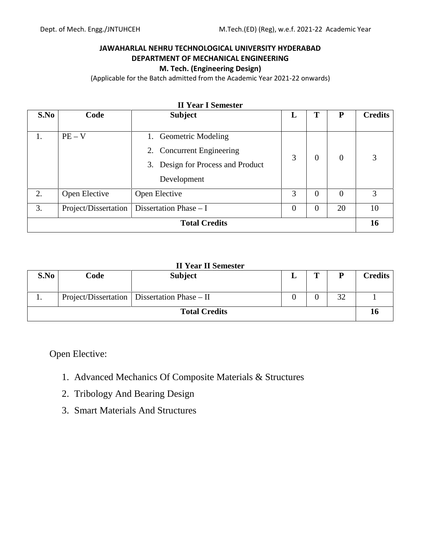### **JAWAHARLAL NEHRU TECHNOLOGICAL UNIVERSITY HYDERABAD DEPARTMENT OF MECHANICAL ENGINEERING M. Tech. (Engineering Design)**

(Applicable for the Batch admitted from the Academic Year 2021-22 onwards)

| S.No | Code                 | <b>Subject</b>                                                                                         | L              | Т              | P        | <b>Credits</b> |
|------|----------------------|--------------------------------------------------------------------------------------------------------|----------------|----------------|----------|----------------|
| 1.   | $PE - V$             | 1. Geometric Modeling<br>2. Concurrent Engineering<br>3. Design for Process and Product<br>Development | 3              | $\overline{0}$ | $\Omega$ | 3              |
| 2.   | Open Elective        | Open Elective                                                                                          | 3              | $\overline{0}$ | $\Omega$ | 3              |
| 3.   | Project/Dissertation | Dissertation Phase $- I$                                                                               | $\overline{0}$ | $\overline{0}$ | 20       | 10             |
|      |                      | <b>Total Credits</b>                                                                                   |                |                |          | 16             |

### **II Year I Semester**

### **II Year II Semester**

| S.No | Code | <b>Subject</b>                                   | $\mathbf{r}$ |           | Credits |
|------|------|--------------------------------------------------|--------------|-----------|---------|
| . .  |      | Project/Dissertation   Dissertation Phase $-$ II |              | 20<br>ے ر |         |
|      |      | <b>Total Credits</b>                             |              |           | 10      |

Open Elective:

- 1. Advanced Mechanics Of Composite Materials & Structures
- 2. Tribology And Bearing Design
- 3. Smart Materials And Structures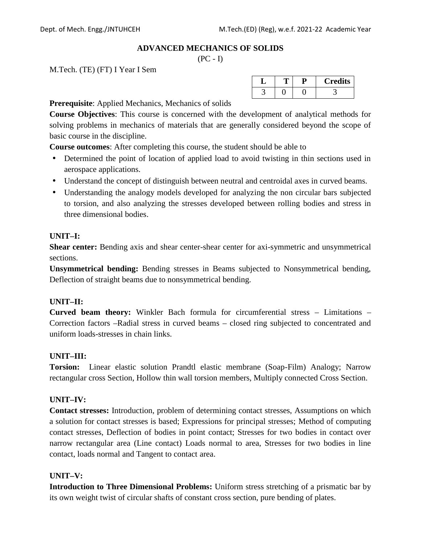#### **ADVANCED MECHANICS OF SOLIDS**

 $(PC - I)$ 

M.Tech. (TE) (FT) I Year I Sem

| . . |  | <b>Credits</b> |
|-----|--|----------------|
|     |  |                |

**Prerequisite**: Applied Mechanics, Mechanics of solids

**Course Objectives**: This course is concerned with the development of analytical methods for solving problems in mechanics of materials that are generally considered beyond the scope of basic course in the discipline.

**Course outcomes**: After completing this course, the student should be able to

- Determined the point of location of applied load to avoid twisting in thin sections used in aerospace applications.
- Understand the concept of distinguish between neutral and centroidal axes in curved beams.
- Understanding the analogy models developed for analyzing the non circular bars subjected to torsion, and also analyzing the stresses developed between rolling bodies and stress in three dimensional bodies.

### **UNIT–I:**

**Shear center:** Bending axis and shear center-shear center for axi-symmetric and unsymmetrical sections.

**Unsymmetrical bending:** Bending stresses in Beams subjected to Nonsymmetrical bending, Deflection of straight beams due to nonsymmetrical bending.

### **UNIT–II:**

**Curved beam theory:** Winkler Bach formula for circumferential stress – Limitations – Correction factors –Radial stress in curved beams – closed ring subjected to concentrated and uniform loads-stresses in chain links.

### **UNIT–III:**

**Torsion:** Linear elastic solution Prandtl elastic membrane (Soap-Film) Analogy; Narrow rectangular cross Section, Hollow thin wall torsion members, Multiply connected Cross Section.

### **UNIT–IV:**

**Contact stresses:** Introduction, problem of determining contact stresses, Assumptions on which a solution for contact stresses is based; Expressions for principal stresses; Method of computing contact stresses, Deflection of bodies in point contact; Stresses for two bodies in contact over narrow rectangular area (Line contact) Loads normal to area, Stresses for two bodies in line contact, loads normal and Tangent to contact area.

### **UNIT–V:**

**Introduction to Three Dimensional Problems:** Uniform stress stretching of a prismatic bar by its own weight twist of circular shafts of constant cross section, pure bending of plates.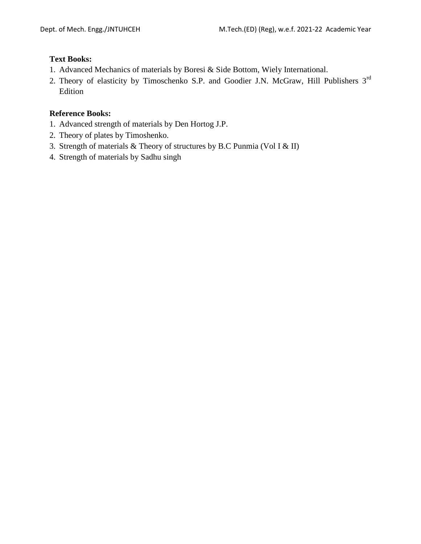### **Text Books:**

- 1. Advanced Mechanics of materials by Boresi & Side Bottom, Wiely International.
- 2. Theory of elasticity by Timoschenko S.P. and Goodier J.N. McGraw, Hill Publishers 3<sup>rd</sup> Edition

- 1. Advanced strength of materials by Den Hortog J.P.
- 2. Theory of plates by Timoshenko.
- 3. Strength of materials & Theory of structures by B.C Punmia (Vol I & II)
- 4. Strength of materials by Sadhu singh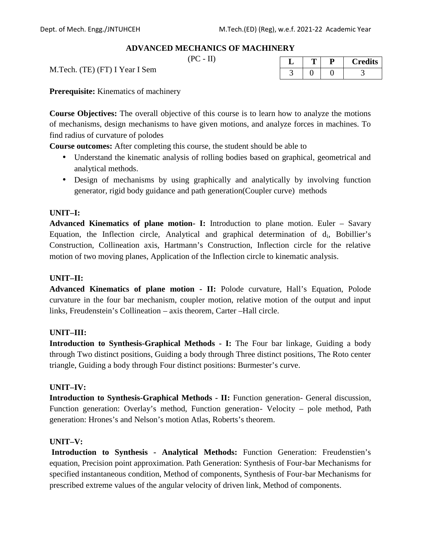**L T P Credits**

3 0 0 3

### **ADVANCED MECHANICS OF MACHINERY**

 $(PC - II)$ 

M.Tech. (TE) (FT) I Year I Sem

**Prerequisite:** Kinematics of machinery

**Course Objectives:** The overall objective of this course is to learn how to analyze the motions of mechanisms, design mechanisms to have given motions, and analyze forces in machines. To find radius of curvature of polodes

**Course outcomes:** After completing this course, the student should be able to

- Understand the kinematic analysis of rolling bodies based on graphical, geometrical and analytical methods.
- Design of mechanisms by using graphically and analytically by involving function generator, rigid body guidance and path generation(Coupler curve) methods

### **UNIT–I:**

**Advanced Kinematics of plane motion- I:** Introduction to plane motion. Euler – Savary Equation, the Inflection circle, Analytical and graphical determination of  $d_i$ , Bobillier's Construction, Collineation axis, Hartmann's Construction, Inflection circle for the relative motion of two moving planes, Application of the Inflection circle to kinematic analysis.

#### **UNIT–II:**

**Advanced Kinematics of plane motion - II:** Polode curvature, Hall's Equation, Polode curvature in the four bar mechanism, coupler motion, relative motion of the output and input links, Freudenstein's Collineation – axis theorem, Carter –Hall circle.

#### **UNIT–III:**

**Introduction to Synthesis-Graphical Methods - I:** The Four bar linkage, Guiding a body through Two distinct positions, Guiding a body through Three distinct positions, The Roto center triangle, Guiding a body through Four distinct positions: Burmester's curve.

#### **UNIT–IV:**

**Introduction to Synthesis-Graphical Methods - II:** Function generation- General discussion, Function generation: Overlay's method, Function generation- Velocity – pole method, Path generation: Hrones's and Nelson's motion Atlas, Roberts's theorem.

#### **UNIT–V:**

**Introduction to Synthesis - Analytical Methods:** Function Generation: Freudenstien's equation, Precision point approximation. Path Generation: Synthesis of Four-bar Mechanisms for specified instantaneous condition, Method of components, Synthesis of Four-bar Mechanisms for prescribed extreme values of the angular velocity of driven link, Method of components.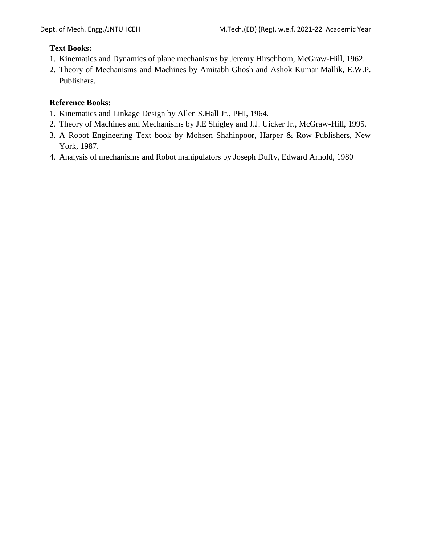### **Text Books:**

- 1. Kinematics and Dynamics of plane mechanisms by Jeremy Hirschhorn, McGraw-Hill, 1962.
- 2. Theory of Mechanisms and Machines by Amitabh Ghosh and Ashok Kumar Mallik, E.W.P. Publishers.

- 1. Kinematics and Linkage Design by Allen S.Hall Jr., PHI, 1964.
- 2. Theory of Machines and Mechanisms by J.E Shigley and J.J. Uicker Jr., McGraw-Hill, 1995.
- 3. A Robot Engineering Text book by Mohsen Shahinpoor, Harper & Row Publishers, New York, 1987.
- 4. Analysis of mechanisms and Robot manipulators by Joseph Duffy, Edward Arnold, 1980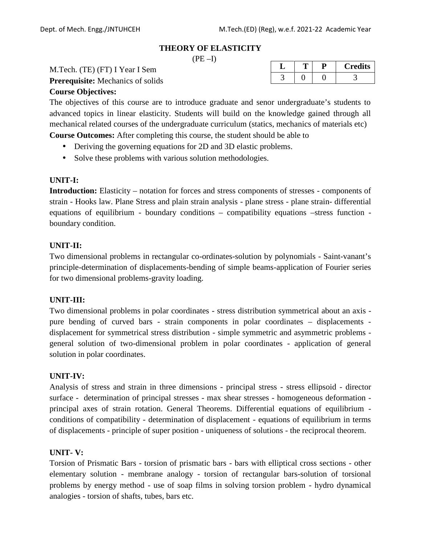#### **THEORY OF ELASTICITY**

 $(PE-I)$ 

M.Tech. (TE) (FT) I Year I Sem

**Prerequisite:** Mechanics of solids

#### **Course Objectives:**

The objectives of this course are to introduce graduate and senor undergraduate's students to advanced topics in linear elasticity. Students will build on the knowledge gained through all mechanical related courses of the undergraduate curriculum (statics, mechanics of materials etc)

**Course Outcomes:** After completing this course, the student should be able to

- Deriving the governing equations for 2D and 3D elastic problems.
- Solve these problems with various solution methodologies.

#### **UNIT-I:**

**Introduction:** Elasticity – notation for forces and stress components of stresses - components of strain - Hooks law. Plane Stress and plain strain analysis - plane stress - plane strain- differential equations of equilibrium - boundary conditions – compatibility equations –stress function boundary condition.

#### **UNIT-II:**

Two dimensional problems in rectangular co-ordinates-solution by polynomials - Saint-vanant's principle-determination of displacements-bending of simple beams-application of Fourier series for two dimensional problems-gravity loading.

#### **UNIT-III:**

Two dimensional problems in polar coordinates - stress distribution symmetrical about an axis pure bending of curved bars - strain components in polar coordinates – displacements displacement for symmetrical stress distribution - simple symmetric and asymmetric problems general solution of two-dimensional problem in polar coordinates - application of general solution in polar coordinates.

#### **UNIT-IV:**

Analysis of stress and strain in three dimensions - principal stress - stress ellipsoid - director surface - determination of principal stresses - max shear stresses - homogeneous deformation principal axes of strain rotation. General Theorems. Differential equations of equilibrium conditions of compatibility - determination of displacement - equations of equilibrium in terms of displacements - principle of super position - uniqueness of solutions - the reciprocal theorem.

#### **UNIT- V:**

Torsion of Prismatic Bars - torsion of prismatic bars - bars with elliptical cross sections - other elementary solution - membrane analogy - torsion of rectangular bars-solution of torsional problems by energy method - use of soap films in solving torsion problem - hydro dynamical analogies - torsion of shafts, tubes, bars etc.

| ↵ |  | <b>Credits</b> |
|---|--|----------------|
|   |  |                |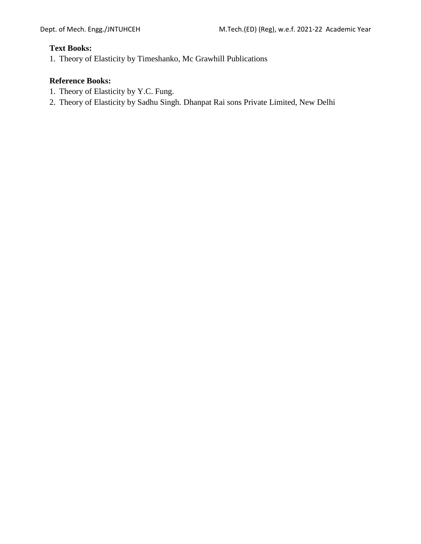#### **Text Books:**

1. Theory of Elasticity by Timeshanko, Mc Grawhill Publications

- 1. Theory of Elasticity by Y.C. Fung.
- 2. Theory of Elasticity by Sadhu Singh. Dhanpat Rai sons Private Limited, New Delhi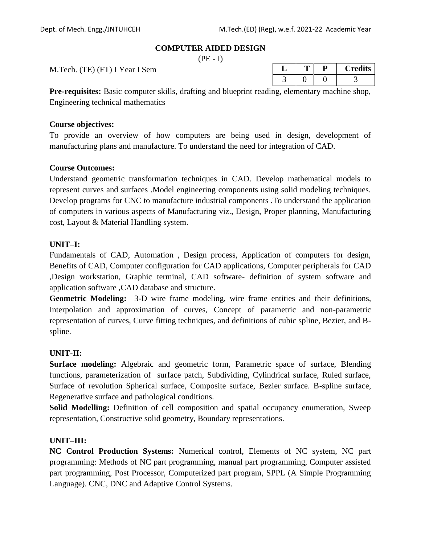#### **COMPUTER AIDED DESIGN**

 $(PE - I)$ 

M.Tech. (TE) (FT) I Year I Sem

| ◡ |  | <b>Credits</b> |
|---|--|----------------|
|   |  |                |

**Pre-requisites:** Basic computer skills, drafting and blueprint reading, elementary machine shop, Engineering technical mathematics

#### **Course objectives:**

To provide an overview of how computers are being used in design, development of manufacturing plans and manufacture. To understand the need for integration of CAD.

#### **Course Outcomes:**

Understand geometric transformation techniques in CAD. Develop mathematical models to represent curves and surfaces .Model engineering components using solid modeling techniques. Develop programs for CNC to manufacture industrial components .To understand the application of computers in various aspects of Manufacturing viz., Design, Proper planning, Manufacturing cost, Layout & Material Handling system.

### **UNIT–I:**

Fundamentals of CAD, Automation , Design process, Application of computers for design, Benefits of CAD, Computer configuration for CAD applications, Computer peripherals for CAD ,Design workstation, Graphic terminal, CAD software- definition of system software and application software ,CAD database and structure.

**Geometric Modeling:** 3-D wire frame modeling, wire frame entities and their definitions, Interpolation and approximation of curves, Concept of parametric and non-parametric representation of curves, Curve fitting techniques, and definitions of cubic spline, Bezier, and B spline.

#### **UNIT-II:**

**Surface modeling:** Algebraic and geometric form, Parametric space of surface, Blending functions, parameterization of surface patch, Subdividing, Cylindrical surface, Ruled surface, Surface of revolution Spherical surface, Composite surface, Bezier surface. B-spline surface, Regenerative surface and pathological conditions.

**Solid Modelling:** Definition of cell composition and spatial occupancy enumeration, Sweep representation, Constructive solid geometry, Boundary representations.

#### **UNIT–III:**

**NC Control Production Systems:** Numerical control, Elements of NC system, NC part programming: Methods of NC part programming, manual part programming, Computer assisted part programming, Post Processor, Computerized part program, SPPL (A Simple Programming Language). CNC, DNC and Adaptive Control Systems.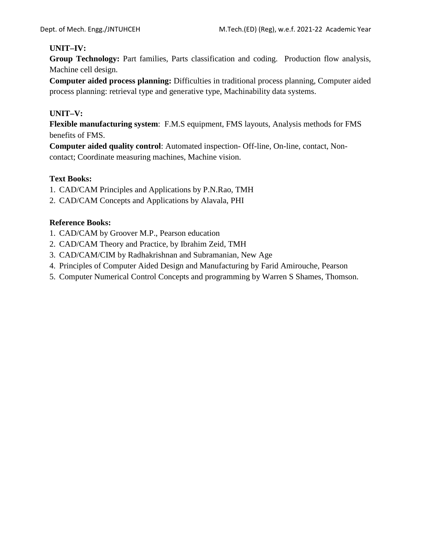### **UNIT–IV:**

**Group Technology:** Part families, Parts classification and coding. Production flow analysis, Machine cell design.

**Computer aided process planning:** Difficulties in traditional process planning, Computer aided process planning: retrieval type and generative type, Machinability data systems.

### **UNIT–V:**

**Flexible manufacturing system**: F.M.S equipment, FMS layouts, Analysis methods for FMS benefits of FMS.

**Computer aided quality control**: Automated inspection- Off-line, On-line, contact, Non contact; Coordinate measuring machines, Machine vision.

### **Text Books:**

- 1. CAD/CAM Principles and Applications by P.N.Rao, TMH
- 2. CAD/CAM Concepts and Applications by Alavala, PHI

- 1. CAD/CAM by Groover M.P., Pearson education
- 2. CAD/CAM Theory and Practice, by Ibrahim Zeid, TMH
- 3. CAD/CAM/CIM by Radhakrishnan and Subramanian, New Age
- 4. Principles of Computer Aided Design and Manufacturing by Farid Amirouche, Pearson
- 5. Computer Numerical Control Concepts and programming by Warren S Shames, Thomson.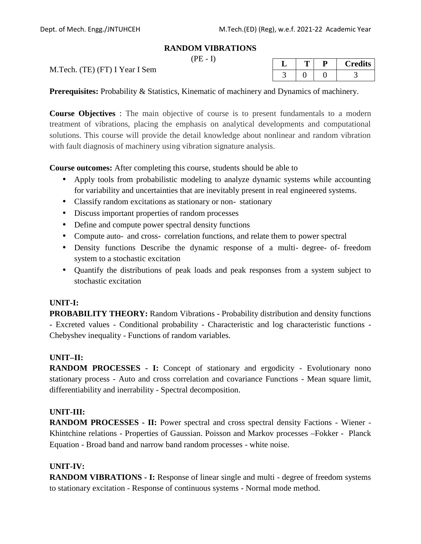#### **RANDOM VIBRATIONS**

 $(PE - I)$ 

M.Tech. (TE) (FT) I Year I Sem

| ◡ |  | <b>Credits</b> |
|---|--|----------------|
|   |  |                |

**Prerequisites:** Probability & Statistics, Kinematic of machinery and Dynamics of machinery.

**Course Objectives** : The main objective of course is to present fundamentals to a modern treatment of vibrations, placing the emphasis on analytical developments and computational solutions. This course will provide the detail knowledge about nonlinear and random vibration with fault diagnosis of machinery using vibration signature analysis.

**Course outcomes:** After completing this course, students should be able to

- Apply tools from probabilistic modeling to analyze dynamic systems while accounting for variability and uncertainties that are inevitably present in real engineered systems.
- Classify random excitations as stationary or non stationary
- Discuss important properties of random processes
- Define and compute power spectral density functions
- Compute auto and cross correlation functions, and relate them to power spectral
- Density functions Describe the dynamic response of a multi degree of freedom system to a stochastic excitation
- Quantify the distributions of peak loads and peak responses from a system subject to stochastic excitation

### **UNIT-I:**

**PROBABILITY THEORY:** Random Vibrations - Probability distribution and density functions - Excreted values - Conditional probability - Characteristic and log characteristic functions - Chebyshev inequality - Functions of random variables.

### **UNIT–II:**

**RANDOM PROCESSES - I:** Concept of stationary and ergodicity - Evolutionary nono stationary process - Auto and cross correlation and covariance Functions - Mean square limit, differentiability and inerrability - Spectral decomposition.

### **UNIT-III:**

**RANDOM PROCESSES - II:** Power spectral and cross spectral density Factions - Wiener - Khintchine relations - Properties of Gaussian. Poisson and Markov processes –Fokker - Planck Equation - Broad band and narrow band random processes - white noise.

### **UNIT-IV:**

**RANDOM VIBRATIONS - I:** Response of linear single and multi - degree of freedom systems to stationary excitation - Response of continuous systems - Normal mode method.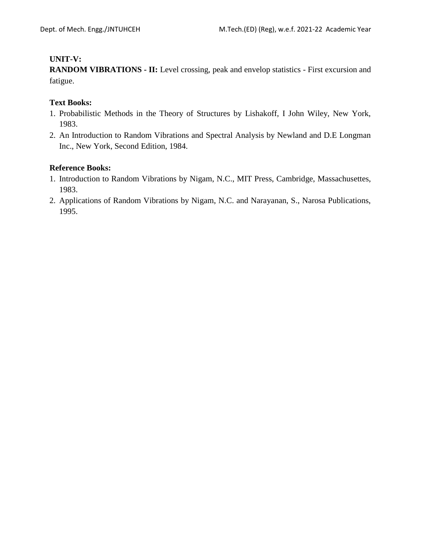### **UNIT-V:**

**RANDOM VIBRATIONS - II:** Level crossing, peak and envelop statistics - First excursion and fatigue.

### **Text Books:**

- 1. Probabilistic Methods in the Theory of Structures by Lishakoff, I John Wiley, New York, 1983.
- 2. An Introduction to Random Vibrations and Spectral Analysis by Newland and D.E Longman Inc., New York, Second Edition, 1984.

- 1. Introduction to Random Vibrations by Nigam, N.C., MIT Press, Cambridge, Massachusettes, 1983.
- 2. Applications of Random Vibrations by Nigam, N.C. and Narayanan, S., Narosa Publications, 1995.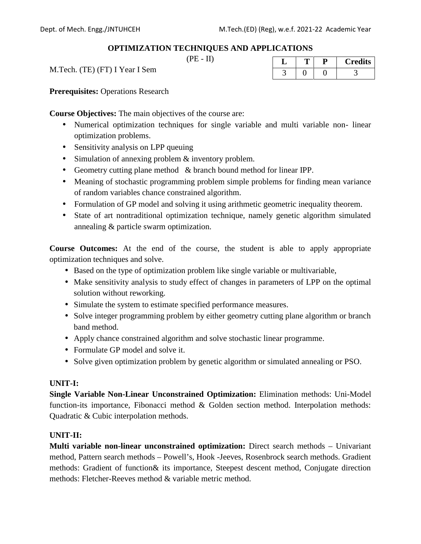### **OPTIMIZATION TECHNIQUES AND APPLICATIONS**

 $(PE - II)$ 

M.Tech. (TE) (FT) I Year I Sem

**Prerequisites:** Operations Research

**Course Objectives:** The main objectives of the course are:

- Numerical optimization techniques for single variable and multi variable non- linear optimization problems.
- Sensitivity analysis on LPP queuing
- Simulation of annexing problem & inventory problem.
- Geometry cutting plane method & branch bound method for linear IPP.
- Meaning of stochastic programming problem simple problems for finding mean variance of random variables chance constrained algorithm.
- Formulation of GP model and solving it using arithmetic geometric inequality theorem.
- State of art nontraditional optimization technique, namely genetic algorithm simulated annealing & particle swarm optimization.

**Course Outcomes:** At the end of the course, the student is able to apply appropriate optimization techniques and solve.

- Based on the type of optimization problem like single variable or multivariable,
- Make sensitivity analysis to study effect of changes in parameters of LPP on the optimal solution without reworking.
- Simulate the system to estimate specified performance measures.
- Solve integer programming problem by either geometry cutting plane algorithm or branch band method.
- Apply chance constrained algorithm and solve stochastic linear programme.
- Formulate GP model and solve it.
- Solve given optimization problem by genetic algorithm or simulated annealing or PSO.

### **UNIT-I:**

**Single Variable Non-Linear Unconstrained Optimization:** Elimination methods: Uni-Model function-its importance, Fibonacci method & Golden section method. Interpolation methods: Quadratic & Cubic interpolation methods.

### **UNIT-II:**

**Multi variable non-linear unconstrained optimization:** Direct search methods – Univariant method, Pattern search methods – Powell's, Hook -Jeeves, Rosenbrock search methods. Gradient methods: Gradient of function& its importance, Steepest descent method, Conjugate direction methods: Fletcher-Reeves method & variable metric method.

|  | <b>Credits</b> |
|--|----------------|
|  |                |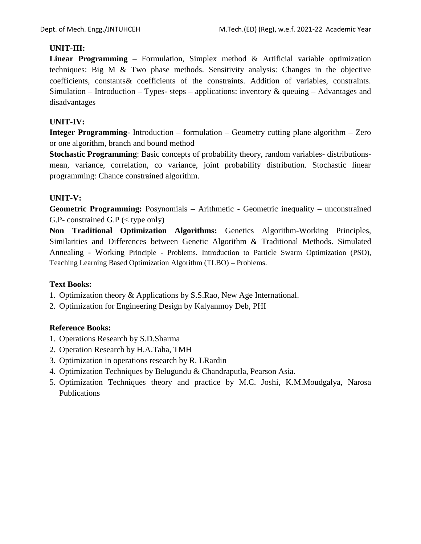### **UNIT-III:**

**Linear Programming** – Formulation, Simplex method & Artificial variable optimization techniques: Big M & Two phase methods. Sensitivity analysis: Changes in the objective coefficients, constants& coefficients of the constraints. Addition of variables, constraints. Simulation – Introduction – Types- steps – applications: inventory  $\&$  queuing – Advantages and disadvantages

### **UNIT-IV:**

**Integer Programming**- Introduction – formulation – Geometry cutting plane algorithm – Zero or one algorithm, branch and bound method

**Stochastic Programming**: Basic concepts of probability theory, random variables- distributions mean, variance, correlation, co variance, joint probability distribution. Stochastic linear programming: Chance constrained algorithm.

### **UNIT-V:**

**Geometric Programming:** Posynomials – Arithmetic - Geometric inequality – unconstrained  $G.P$ - constrained  $G.P$  ( $\theta$  type only)

**Non Traditional Optimization Algorithms:** Genetics Algorithm-Working Principles, Similarities and Differences between Genetic Algorithm & Traditional Methods. Simulated Annealing - Working Principle - Problems. Introduction to Particle Swarm Optimization (PSO), Teaching Learning Based Optimization Algorithm (TLBO) – Problems.

### **Text Books:**

- 1. Optimization theory & Applications by S.S.Rao, New Age International.
- 2. Optimization for Engineering Design by Kalyanmoy Deb, PHI

- 1. Operations Research by S.D.Sharma
- 2. Operation Research by H.A.Taha, TMH
- 3. Optimization in operations research by R. LRardin
- 4. Optimization Techniques by Belugundu & Chandraputla, Pearson Asia.
- 5. Optimization Techniques theory and practice by M.C. Joshi, K.M.Moudgalya, Narosa Publications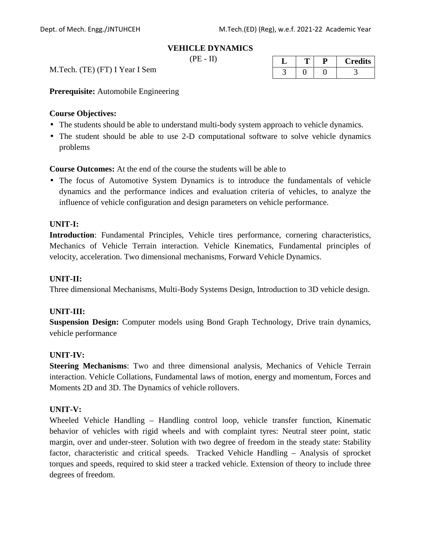#### **VEHICLE DYNAMICS**

 $(PE - II)$ 

M.Tech. (TE) (FT) I Year I Sem

|  | <b>Credits</b> |
|--|----------------|
|  |                |

**Prerequisite:** Automobile Engineering

#### **Course Objectives:**

- The students should be able to understand multi-body system approach to vehicle dynamics.
- The student should be able to use 2-D computational software to solve vehicle dynamics problems

**Course Outcomes:** At the end of the course the students will be able to

 The focus of Automotive System Dynamics is to introduce the fundamentals of vehicle dynamics and the performance indices and evaluation criteria of vehicles, to analyze the influence of vehicle configuration and design parameters on vehicle performance.

#### **UNIT-I:**

**Introduction**: Fundamental Principles, Vehicle tires performance, cornering characteristics, Mechanics of Vehicle Terrain interaction. Vehicle Kinematics, Fundamental principles of velocity, acceleration. Two dimensional mechanisms, Forward Vehicle Dynamics.

#### **UNIT-II:**

Three dimensional Mechanisms, Multi-Body Systems Design, Introduction to 3D vehicle design.

#### **UNIT-III:**

**Suspension Design:** Computer models using Bond Graph Technology, Drive train dynamics, vehicle performance

#### **UNIT-IV:**

**Steering Mechanisms**: Two and three dimensional analysis, Mechanics of Vehicle Terrain interaction. Vehicle Collations, Fundamental laws of motion, energy and momentum, Forces and Moments 2D and 3D. The Dynamics of vehicle rollovers.

#### **UNIT-V:**

Wheeled Vehicle Handling – Handling control loop, vehicle transfer function, Kinematic behavior of vehicles with rigid wheels and with complaint tyres: Neutral steer point, static margin, over and under-steer. Solution with two degree of freedom in the steady state: Stability factor, characteristic and critical speeds. Tracked Vehicle Handling – Analysis of sprocket torques and speeds, required to skid steer a tracked vehicle. Extension of theory to include three degrees of freedom.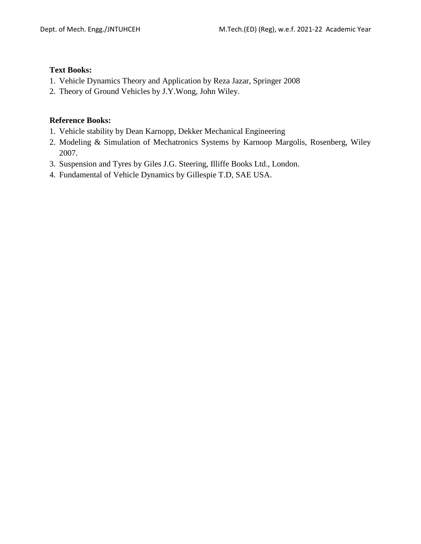### **Text Books:**

- 1. Vehicle Dynamics Theory and Application by Reza Jazar, Springer 2008
- 2. Theory of Ground Vehicles by J.Y.Wong, John Wiley.

- 1. Vehicle stability by Dean Karnopp, Dekker Mechanical Engineering
- 2. Modeling & Simulation of Mechatronics Systems by Karnoop Margolis, Rosenberg, Wiley 2007.
- 3. Suspension and Tyres by Giles J.G. Steering, Illiffe Books Ltd., London.
- 4. Fundamental of Vehicle Dynamics by Gillespie T.D, SAE USA.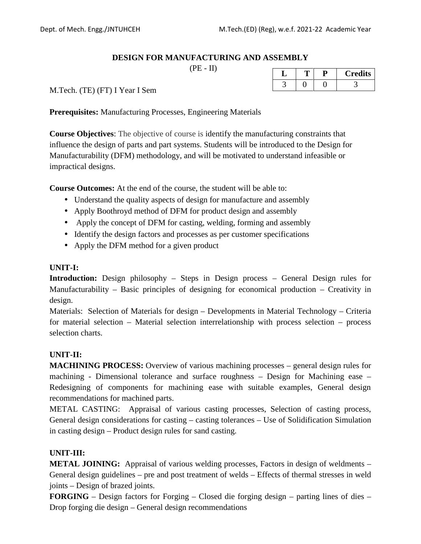### **DESIGN FOR MANUFACTURING AND ASSEMBLY**

 $(PE - II)$ 

| ◡ |  | <b>Credits</b> |
|---|--|----------------|
|   |  |                |

M.Tech. (TE) (FT) I Year I Sem

**Prerequisites:** Manufacturing Processes, Engineering Materials

**Course Objectives**: The objective of course is identify the manufacturing constraints that influence the design of parts and part systems. Students will be introduced to the Design for Manufacturability (DFM) methodology, and will be motivated to understand infeasible or impractical designs.

**Course Outcomes:** At the end of the course, the student will be able to:

- Understand the quality aspects of design for manufacture and assembly
- Apply Boothroyd method of DFM for product design and assembly
- Apply the concept of DFM for casting, welding, forming and assembly
- Identify the design factors and processes as per customer specifications
- Apply the DFM method for a given product

#### **UNIT-I:**

**Introduction:** Design philosophy – Steps in Design process – General Design rules for Manufacturability – Basic principles of designing for economical production – Creativity in design.

Materials: Selection of Materials for design – Developments in Material Technology – Criteria for material selection – Material selection interrelationship with process selection – process selection charts.

### **UNIT-II:**

**MACHINING PROCESS:** Overview of various machining processes – general design rules for machining - Dimensional tolerance and surface roughness – Design for Machining ease – Redesigning of components for machining ease with suitable examples, General design recommendations for machined parts.

METAL CASTING: Appraisal of various casting processes, Selection of casting process, General design considerations for casting – casting tolerances – Use of Solidification Simulation in casting design – Product design rules for sand casting.

### **UNIT-III:**

**METAL JOINING:** Appraisal of various welding processes, Factors in design of weldments – General design guidelines – pre and post treatment of welds – Effects of thermal stresses in weld joints – Design of brazed joints.

**FORGING** – Design factors for Forging – Closed die forging design – parting lines of dies – Drop forging die design – General design recommendations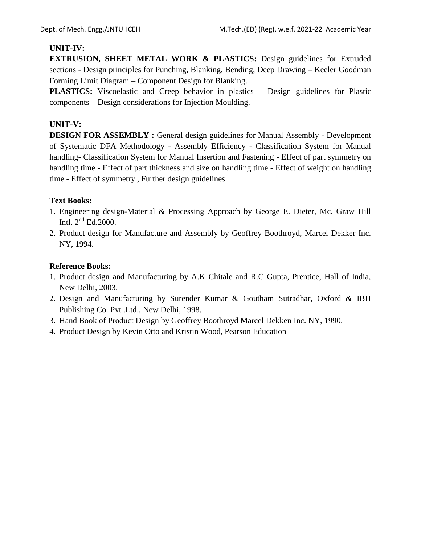### **UNIT-IV:**

**EXTRUSION, SHEET METAL WORK & PLASTICS:** Design guidelines for Extruded sections - Design principles for Punching, Blanking, Bending, Deep Drawing – Keeler Goodman Forming Limit Diagram – Component Design for Blanking.

**PLASTICS:** Viscoelastic and Creep behavior in plastics – Design guidelines for Plastic components – Design considerations for Injection Moulding.

### **UNIT-V:**

**DESIGN FOR ASSEMBLY :** General design guidelines for Manual Assembly - Development of Systematic DFA Methodology - Assembly Efficiency - Classification System for Manual handling- Classification System for Manual Insertion and Fastening - Effect of part symmetry on handling time - Effect of part thickness and size on handling time - Effect of weight on handling time - Effect of symmetry , Further design guidelines.

### **Text Books:**

- 1. Engineering design-Material & Processing Approach by George E. Dieter, Mc. Graw Hill Intl.  $2<sup>nd</sup>$  Ed.2000.
- 2. Product design for Manufacture and Assembly by Geoffrey Boothroyd, Marcel Dekker Inc. NY, 1994.

- 1. Product design and Manufacturing by A.K Chitale and R.C Gupta, Prentice, Hall of India, New Delhi, 2003.
- 2. Design and Manufacturing by Surender Kumar & Goutham Sutradhar, Oxford & IBH Publishing Co. Pvt .Ltd., New Delhi, 1998.
- 3. Hand Book of Product Design by Geoffrey Boothroyd Marcel Dekken Inc. NY, 1990.
- 4. Product Design by Kevin Otto and Kristin Wood, Pearson Education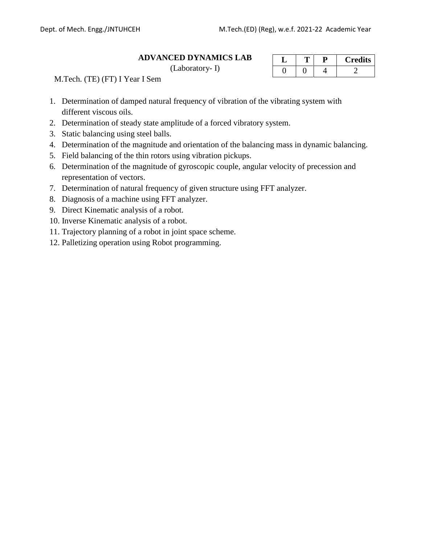#### **ADVANCED DYNAMICS LAB**

(Laboratory- I)

|  | <b>Credits</b> |
|--|----------------|
|  |                |

M.Tech. (TE) (FT) I Year I Sem

- 1. Determination of damped natural frequency of vibration of the vibrating system with different viscous oils.
- 2. Determination of steady state amplitude of a forced vibratory system.
- 3. Static balancing using steel balls.
- 4. Determination of the magnitude and orientation of the balancing mass in dynamic balancing.
- 5. Field balancing of the thin rotors using vibration pickups.
- 6. Determination of the magnitude of gyroscopic couple, angular velocity of precession and representation of vectors.
- 7. Determination of natural frequency of given structure using FFT analyzer.
- 8. Diagnosis of a machine using FFT analyzer.
- 9. Direct Kinematic analysis of a robot.
- 10. Inverse Kinematic analysis of a robot.
- 11. Trajectory planning of a robot in joint space scheme.
- 12. Palletizing operation using Robot programming.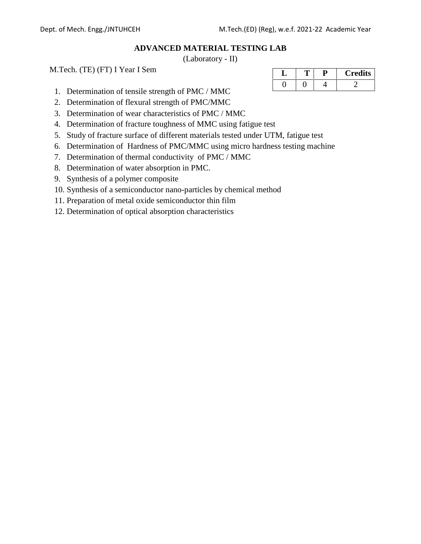### **ADVANCED MATERIAL TESTING LAB**

(Laboratory - II)

M.Tech. (TE) (FT) I Year I Sem

- 1. Determination of tensile strength of PMC / MMC
- 2. Determination of flexural strength of PMC/MMC
- 3. Determination of wear characteristics of PMC / MMC
- 4. Determination of fracture toughness of MMC using fatigue test
- 5. Study of fracture surface of different materials tested under UTM, fatigue test
- 6. Determination of Hardness of PMC/MMC using micro hardness testing machine
- 7. Determination of thermal conductivity of PMC / MMC
- 8. Determination of water absorption in PMC.
- 9. Synthesis of a polymer composite
- 10. Synthesis of a semiconductor nano-particles by chemical method
- 11. Preparation of metal oxide semiconductor thin film
- 12. Determination of optical absorption characteristics

| ◡ |  | <b>Credits</b> |
|---|--|----------------|
|   |  |                |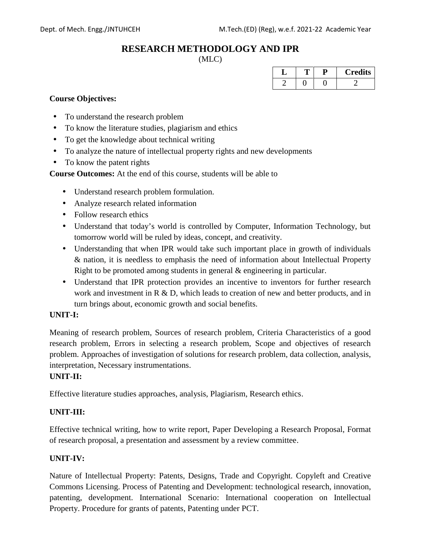# **RESEARCH METHODOLOGY AND IPR**

(MLC)

| ., |  | <b>Credits</b> |
|----|--|----------------|
|    |  |                |

### **Course Objectives:**

- To understand the research problem
- To know the literature studies, plagiarism and ethics
- To get the knowledge about technical writing
- To analyze the nature of intellectual property rights and new developments
- To know the patent rights

**Course Outcomes:** At the end of this course, students will be able to

- Understand research problem formulation.
- Analyze research related information
- Follow research ethics
- Understand that today's world is controlled by Computer, Information Technology, but tomorrow world will be ruled by ideas, concept, and creativity.
- Understanding that when IPR would take such important place in growth of individuals & nation, it is needless to emphasis the need of information about Intellectual Property Right to be promoted among students in general & engineering in particular.
- Understand that IPR protection provides an incentive to inventors for further research work and investment in R & D, which leads to creation of new and better products, and in turn brings about, economic growth and social benefits.

#### **UNIT-I:**

Meaning of research problem, Sources of research problem, Criteria Characteristics of a good research problem, Errors in selecting a research problem, Scope and objectives of research problem. Approaches of investigation of solutions for research problem, data collection, analysis, interpretation, Necessary instrumentations.

#### **UNIT-II:**

Effective literature studies approaches, analysis, Plagiarism, Research ethics.

#### **UNIT-III:**

Effective technical writing, how to write report, Paper Developing a Research Proposal, Format of research proposal, a presentation and assessment by a review committee.

#### **UNIT-IV:**

Nature of Intellectual Property: Patents, Designs, Trade and Copyright. Copyleft and Creative Commons Licensing. Process of Patenting and Development: technological research, innovation, patenting, development. International Scenario: International cooperation on Intellectual Property. Procedure for grants of patents, Patenting under PCT.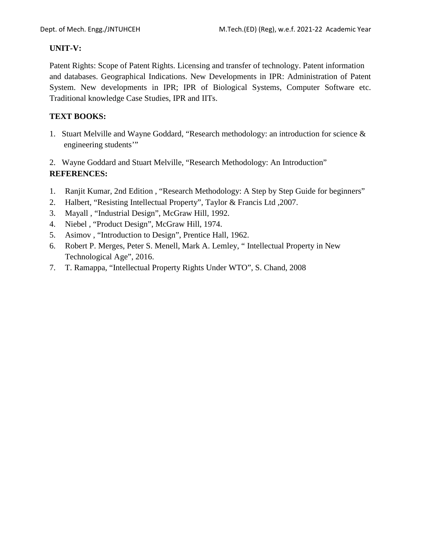### **UNIT-V:**

Patent Rights: Scope of Patent Rights. Licensing and transfer of technology. Patent information and databases. Geographical Indications. New Developments in IPR: Administration of Patent System. New developments in IPR; IPR of Biological Systems, Computer Software etc. Traditional knowledge Case Studies, IPR and IITs.

### **TEXT BOOKS:**

- 1. Stuart Melville and Wayne Goddard, "Research methodology: an introduction for science & engineering students'"
- 2. Wayne Goddard and Stuart Melville, "Research Methodology: An Introduction" **REFERENCES:**
- 1. Ranjit Kumar, 2nd Edition , "Research Methodology: A Step by Step Guide for beginners"
- 2. Halbert, "Resisting Intellectual Property", Taylor & Francis Ltd ,2007.
- 3. Mayall , "Industrial Design", McGraw Hill, 1992.
- 4. Niebel , "Product Design", McGraw Hill, 1974.
- 5. Asimov , "Introduction to Design", Prentice Hall, 1962.
- 6. Robert P. Merges, Peter S. Menell, Mark A. Lemley, " Intellectual Property in New Technological Age", 2016.
- 7. T. Ramappa, "Intellectual Property Rights Under WTO", S. Chand, 2008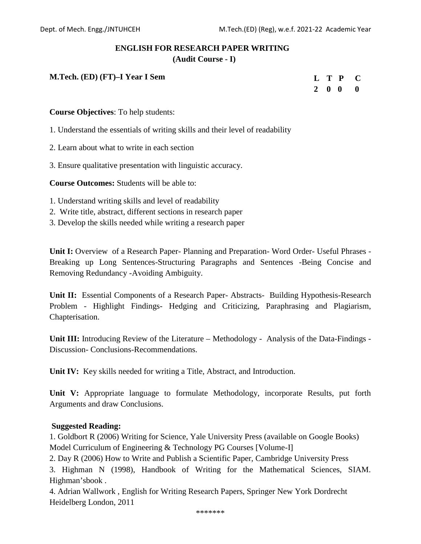# **ENGLISH FOR RESEARCH PAPER WRITING**

**(Audit Course - I)**

**M.Tech. (ED) (FT)–I Year I Sem**

|  |                          | L T P C |  |
|--|--------------------------|---------|--|
|  | $2\quad 0\quad 0\quad 0$ |         |  |

**Course Objectives**: To help students:

1. Understand the essentials of writing skills and their level of readability

- 2. Learn about what to write in each section
- 3. Ensure qualitative presentation with linguistic accuracy.

**Course Outcomes:** Students will be able to:

- 1. Understand writing skills and level of readability
- 2. Write title, abstract, different sections in research paper
- 3. Develop the skills needed while writing a research paper

**Unit I:** Overview of a Research Paper- Planning and Preparation- Word Order- Useful Phrases - Breaking up Long Sentences-Structuring Paragraphs and Sentences -Being Concise and Removing Redundancy -Avoiding Ambiguity.

**Unit II:** Essential Components of a Research Paper- Abstracts- Building Hypothesis-Research Problem - Highlight Findings- Hedging and Criticizing, Paraphrasing and Plagiarism, Chapterisation.

**Unit III:** Introducing Review of the Literature – Methodology - Analysis of the Data-Findings - Discussion- Conclusions-Recommendations.

**Unit IV:** Key skills needed for writing a Title, Abstract, and Introduction.

**Unit V:** Appropriate language to formulate Methodology, incorporate Results, put forth Arguments and draw Conclusions.

#### **Suggested Reading:**

1. Goldbort R (2006) Writing for Science, Yale University Press (available on Google Books) Model Curriculum of Engineering & Technology PG Courses [Volume-I]

2. Day R (2006) How to Write and Publish a Scientific Paper, Cambridge University Press

3. Highman N (1998), Handbook of Writing for the Mathematical Sciences, SIAM. Highman'sbook .

4. Adrian Wallwork , English for Writing Research Papers, Springer New York Dordrecht Heidelberg London, 2011

\*\*\*\*\*\*\*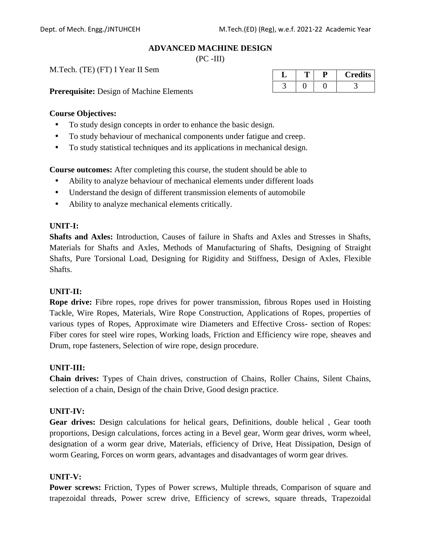#### **ADVANCED MACHINE DESIGN**

 $(PC - III)$ 

M.Tech. (TE) (FT) I Year II Sem

**Prerequisite:** Design of Machine Elements

| ↵ |  | <b>Credits</b> |
|---|--|----------------|
|   |  |                |

### **Course Objectives:**

- To study design concepts in order to enhance the basic design.
- To study behaviour of mechanical components under fatigue and creep.
- To study statistical techniques and its applications in mechanical design.

**Course outcomes:** After completing this course, the student should be able to

- Ability to analyze behaviour of mechanical elements under different loads
- Understand the design of different transmission elements of automobile
- Ability to analyze mechanical elements critically.

### **UNIT-I:**

**Shafts and Axles:** Introduction, Causes of failure in Shafts and Axles and Stresses in Shafts, Materials for Shafts and Axles, Methods of Manufacturing of Shafts, Designing of Straight Shafts, Pure Torsional Load, Designing for Rigidity and Stiffness, Design of Axles, Flexible Shafts.

### **UNIT-II:**

**Rope drive:** Fibre ropes, rope drives for power transmission, fibrous Ropes used in Hoisting Tackle, Wire Ropes, Materials, Wire Rope Construction, Applications of Ropes, properties of various types of Ropes, Approximate wire Diameters and Effective Cross- section of Ropes: Fiber cores for steel wire ropes, Working loads, Friction and Efficiency wire rope, sheaves and Drum, rope fasteners, Selection of wire rope, design procedure.

#### **UNIT-III:**

**Chain drives:** Types of Chain drives, construction of Chains, Roller Chains, Silent Chains, selection of a chain, Design of the chain Drive, Good design practice.

### **UNIT-IV:**

**Gear drives:** Design calculations for helical gears, Definitions, double helical , Gear tooth proportions, Design calculations, forces acting in a Bevel gear, Worm gear drives, worm wheel, designation of a worm gear drive, Materials, efficiency of Drive, Heat Dissipation, Design of worm Gearing, Forces on worm gears, advantages and disadvantages of worm gear drives.

### **UNIT-V:**

**Power screws:** Friction, Types of Power screws, Multiple threads, Comparison of square and trapezoidal threads, Power screw drive, Efficiency of screws, square threads, Trapezoidal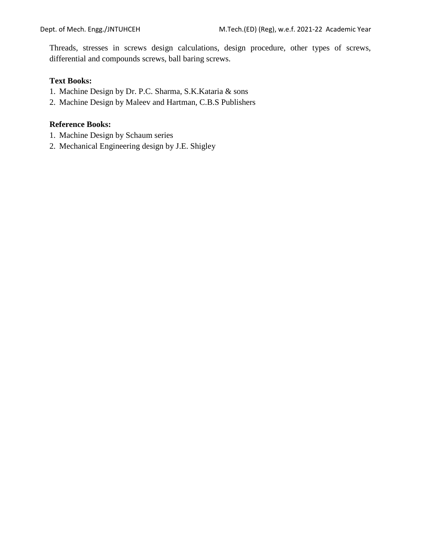Threads, stresses in screws design calculations, design procedure, other types of screws, differential and compounds screws, ball baring screws.

### **Text Books:**

- 1. Machine Design by Dr. P.C. Sharma, S.K.Kataria & sons
- 2. Machine Design by Maleev and Hartman, C.B.S Publishers

- 1. Machine Design by Schaum series
- 2. Mechanical Engineering design by J.E. Shigley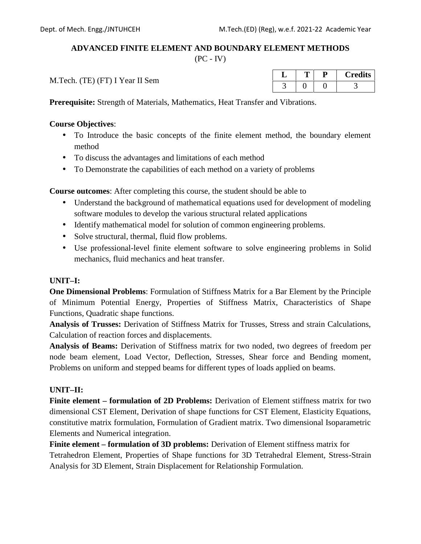### **ADVANCED FINITE ELEMENT AND BOUNDARY ELEMENT METHODS**

 $(PC - IV)$ 

M.Tech. (TE) (FT) I Year II Sem

| ے۔ |  | <b>Credits</b> |
|----|--|----------------|
|    |  |                |

**Prerequisite:** Strength of Materials, Mathematics, Heat Transfer and Vibrations.

### **Course Objectives**:

- To Introduce the basic concepts of the finite element method, the boundary element method
- To discuss the advantages and limitations of each method
- To Demonstrate the capabilities of each method on a variety of problems

**Course outcomes**: After completing this course, the student should be able to

- Understand the background of mathematical equations used for development of modeling software modules to develop the various structural related applications
- Identify mathematical model for solution of common engineering problems.
- Solve structural, thermal, fluid flow problems.
- Use professional-level finite element software to solve engineering problems in Solid mechanics, fluid mechanics and heat transfer.

### **UNIT–I:**

**One Dimensional Problems**: Formulation of Stiffness Matrix for a Bar Element by the Principle of Minimum Potential Energy, Properties of Stiffness Matrix, Characteristics of Shape Functions, Quadratic shape functions.

**Analysis of Trusses:** Derivation of Stiffness Matrix for Trusses, Stress and strain Calculations, Calculation of reaction forces and displacements.

**Analysis of Beams:** Derivation of Stiffness matrix for two noded, two degrees of freedom per node beam element, Load Vector, Deflection, Stresses, Shear force and Bending moment, Problems on uniform and stepped beams for different types of loads applied on beams.

### **UNIT–II:**

**Finite element – formulation of 2D Problems:** Derivation of Element stiffness matrix for two dimensional CST Element, Derivation of shape functions for CST Element, Elasticity Equations, constitutive matrix formulation, Formulation of Gradient matrix. Two dimensional Isoparametric Elements and Numerical integration.

**Finite element – formulation of 3D problems:** Derivation of Element stiffness matrix for Tetrahedron Element, Properties of Shape functions for 3D Tetrahedral Element, Stress-Strain Analysis for 3D Element, Strain Displacement for Relationship Formulation.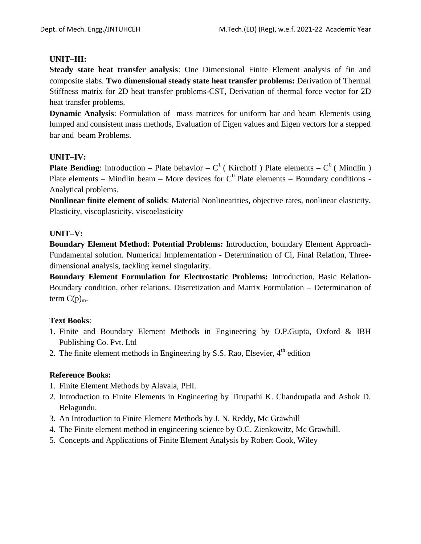### **UNIT–III:**

**Steady state heat transfer analysis**: One Dimensional Finite Element analysis of fin and composite slabs. **Two dimensional steady state heat transfer problems:** Derivation of Thermal Stiffness matrix for 2D heat transfer problems-CST, Derivation of thermal force vector for 2D heat transfer problems.

**Dynamic Analysis**: Formulation of mass matrices for uniform bar and beam Elements using lumped and consistent mass methods, Evaluation of Eigen values and Eigen vectors for a stepped bar and beam Problems.

### **UNIT–IV:**

**Plate Bending**: Introduction – Plate behavior –  $C^1$  (Kirchoff) Plate elements –  $C^0$  (Mindlin) Plate elements – Mindlin beam – More devices for  $C^0$  Plate elements – Boundary conditions -Analytical problems.

**Nonlinear finite element of solids**: Material Nonlinearities, objective rates, nonlinear elasticity, Plasticity, viscoplasticity, viscoelasticity

### **UNIT–V:**

**Boundary Element Method: Potential Problems:** Introduction, boundary Element Approach- Fundamental solution. Numerical Implementation - Determination of Ci, Final Relation, Three dimensional analysis, tackling kernel singularity.

**Boundary Element Formulation for Electrostatic Problems:** Introduction, Basic Relation- Boundary condition, other relations. Discretization and Matrix Formulation – Determination of term  $C(p)_{m}$ .

### **Text Books**:

- 1. Finite and Boundary Element Methods in Engineering by O.P.Gupta, Oxford & IBH Publishing Co. Pvt. Ltd
- 2. The finite element methods in Engineering by S.S. Rao, Elsevier,  $4<sup>th</sup>$  edition

- 1. Finite Element Methods by Alavala, PHI.
- 2. Introduction to Finite Elements in Engineering by Tirupathi K. Chandrupatla and Ashok D. Belagundu.
- 3. An Introduction to Finite Element Methods by J. N. Reddy, Mc Grawhill
- 4. The Finite element method in engineering science by O.C. Zienkowitz, Mc Grawhill.
- 5. Concepts and Applications of Finite Element Analysis by Robert Cook, Wiley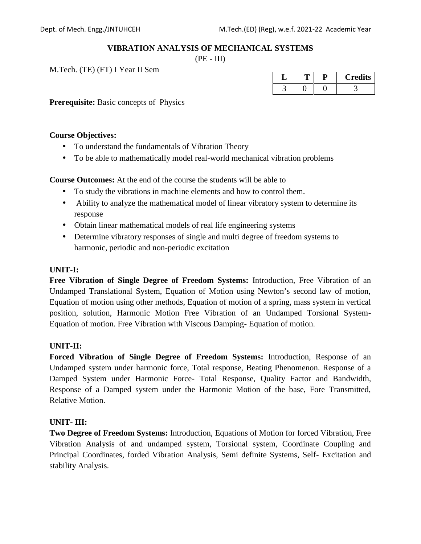### **VIBRATION ANALYSIS OF MECHANICAL SYSTEMS**

 $(PE - III)$ 

M.Tech. (TE) (FT) I Year II Sem

|  | <b>Credits</b> |
|--|----------------|
|  |                |

**Prerequisite:** Basic concepts of Physics

#### **Course Objectives:**

- To understand the fundamentals of Vibration Theory
- To be able to mathematically model real-world mechanical vibration problems

**Course Outcomes:** At the end of the course the students will be able to

- To study the vibrations in machine elements and how to control them.
- Ability to analyze the mathematical model of linear vibratory system to determine its response
- Obtain linear mathematical models of real life engineering systems
- Determine vibratory responses of single and multi degree of freedom systems to harmonic, periodic and non-periodic excitation

### **UNIT-I:**

**Free Vibration of Single Degree of Freedom Systems:** Introduction, Free Vibration of an Undamped Translational System, Equation of Motion using Newton's second law of motion, Equation of motion using other methods, Equation of motion of a spring, mass system in vertical position, solution, Harmonic Motion Free Vibration of an Undamped Torsional System- Equation of motion. Free Vibration with Viscous Damping- Equation of motion.

#### **UNIT-II:**

**Forced Vibration of Single Degree of Freedom Systems:** Introduction, Response of an Undamped system under harmonic force, Total response, Beating Phenomenon. Response of a Damped System under Harmonic Force- Total Response, Quality Factor and Bandwidth, Response of a Damped system under the Harmonic Motion of the base, Fore Transmitted, Relative Motion.

#### **UNIT- III:**

**Two Degree of Freedom Systems:** Introduction, Equations of Motion for forced Vibration, Free Vibration Analysis of and undamped system, Torsional system, Coordinate Coupling and Principal Coordinates, forded Vibration Analysis, Semi definite Systems, Self- Excitation and stability Analysis.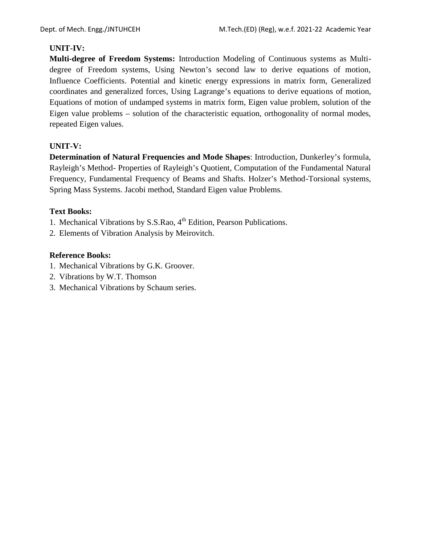### **UNIT-IV:**

**Multi-degree of Freedom Systems:** Introduction Modeling of Continuous systems as Multi degree of Freedom systems, Using Newton's second law to derive equations of motion, Influence Coefficients. Potential and kinetic energy expressions in matrix form, Generalized coordinates and generalized forces, Using Lagrange's equations to derive equations of motion, Equations of motion of undamped systems in matrix form, Eigen value problem, solution of the Eigen value problems – solution of the characteristic equation, orthogonality of normal modes, repeated Eigen values.

### **UNIT-V:**

**Determination of Natural Frequencies and Mode Shapes**: Introduction, Dunkerley's formula, Rayleigh's Method- Properties of Rayleigh's Quotient, Computation of the Fundamental Natural Frequency, Fundamental Frequency of Beams and Shafts. Holzer's Method-Torsional systems, Spring Mass Systems. Jacobi method, Standard Eigen value Problems.

### **Text Books:**

1. Mechanical Vibrations by S.S.Rao, 4<sup>th</sup> Edition, Pearson Publications.

2. Elements of Vibration Analysis by Meirovitch.

- 1. Mechanical Vibrations by G.K. Groover.
- 2. Vibrations by W.T. Thomson
- 3. Mechanical Vibrations by Schaum series.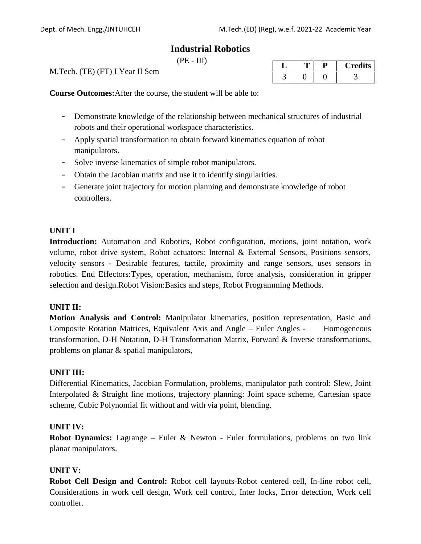# **Industrial Robotics**

 $(PE - III)$ 

M.Tech. (TE) (FT) I Year II Sem

| ╹ |  | <b>Credits</b> |
|---|--|----------------|
|   |  |                |

**Course Outcomes:**After the course, the student will be able to:

- Demonstrate knowledge of the relationship between mechanical structures of industrial robots and their operational workspace characteristics.
- Apply spatial transformation to obtain forward kinematics equation of robot manipulators.
- Solve inverse kinematics of simple robot manipulators.
- Obtain the Jacobian matrix and use it to identify singularities.
- Generate joint trajectory for motion planning and demonstrate knowledge of robot controllers.

### **UNIT I**

**Introduction:** Automation and Robotics, Robot configuration, motions, joint notation, work volume, robot drive system, Robot actuators: Internal & External Sensors, Positions sensors, velocity sensors - Desirable features, tactile, proximity and range sensors, uses sensors in robotics. End Effectors:Types, operation, mechanism, force analysis, consideration in gripper selection and design.Robot Vision:Basics and steps, Robot Programming Methods.

#### **UNIT II:**

**Motion Analysis and Control:** Manipulator kinematics, position representation, Basic and Composite Rotation Matrices, Equivalent Axis and Angle – Euler Angles - Homogeneous transformation, D-H Notation, D-H Transformation Matrix, Forward & Inverse transformations, problems on planar & spatial manipulators,

#### **UNIT III:**

Differential Kinematics, Jacobian Formulation, problems, manipulator path control: Slew, Joint Interpolated & Straight line motions, trajectory planning: Joint space scheme, Cartesian space scheme, Cubic Polynomial fit without and with via point, blending.

#### **UNIT IV:**

**Robot Dynamics:** Lagrange – Euler & Newton - Euler formulations, problems on two link planar manipulators.

#### **UNIT V:**

**Robot Cell Design and Control:** Robot cell layouts-Robot centered cell, In-line robot cell, Considerations in work cell design, Work cell control, Inter locks, Error detection, Work cell controller.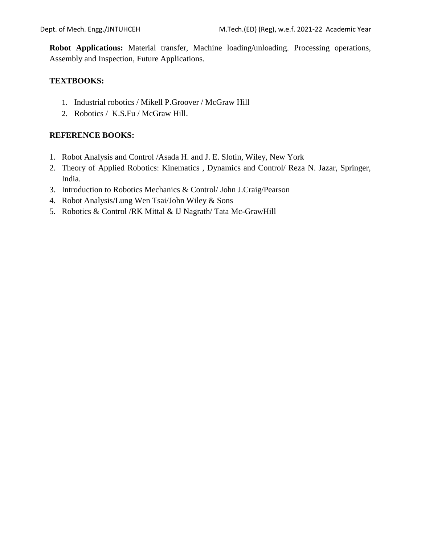**Robot Applications:** Material transfer, Machine loading/unloading. Processing operations, Assembly and Inspection, Future Applications.

### **TEXTBOOKS:**

- 1. Industrial robotics / Mikell P.Groover / McGraw Hill
- 2. Robotics / K.S.Fu / McGraw Hill.

### **REFERENCE BOOKS:**

- 1. Robot Analysis and Control /Asada H. and J. E. Slotin, Wiley, New York
- 2. Theory of Applied Robotics: Kinematics , Dynamics and Control/ Reza N. Jazar, Springer, India.
- 3. Introduction to Robotics Mechanics & Control/ John J.Craig/Pearson
- 4. Robot Analysis/Lung Wen Tsai/John Wiley & Sons
- 5. Robotics & Control /RK Mittal & IJ Nagrath/ Tata Mc-GrawHill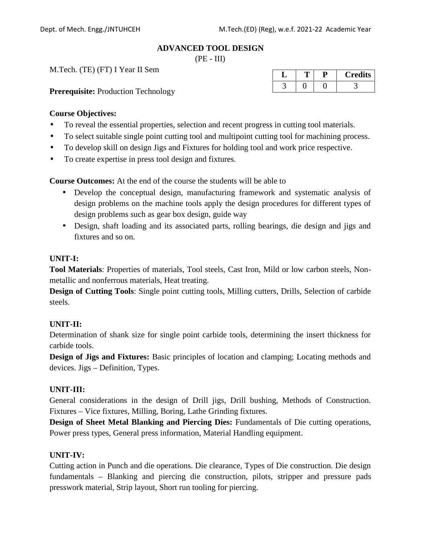#### **ADVANCED TOOL DESIGN**

 $(PE - III)$ 

M.Tech. (TE) (FT) I Year II Sem

**Prerequisite:** Production Technology

| ◡ |  | <b>Credits</b> |
|---|--|----------------|
|   |  |                |

#### **Course Objectives:**

- To reveal the essential properties, selection and recent progress in cutting tool materials.
- To select suitable single point cutting tool and multipoint cutting tool for machining process.
- To develop skill on design Jigs and Fixtures for holding tool and work price respective.
- To create expertise in press tool design and fixtures.

**Course Outcomes:** At the end of the course the students will be able to

- Develop the conceptual design, manufacturing framework and systematic analysis of design problems on the machine tools apply the design procedures for different types of design problems such as gear box design, guide way
- Design, shaft loading and its associated parts, rolling bearings, die design and jigs and fixtures and so on.

### **UNIT-I:**

**Tool Materials**: Properties of materials, Tool steels, Cast Iron, Mild or low carbon steels, Non metallic and nonferrous materials, Heat treating.

**Design of Cutting Tools**: Single point cutting tools, Milling cutters, Drills, Selection of carbide steels.

#### **UNIT-II:**

Determination of shank size for single point carbide tools, determining the insert thickness for carbide tools.

**Design of Jigs and Fixtures:** Basic principles of location and clamping; Locating methods and devices. Jigs – Definition, Types.

#### **UNIT-III:**

General considerations in the design of Drill jigs, Drill bushing, Methods of Construction. Fixtures – Vice fixtures, Milling, Boring, Lathe Grinding fixtures.

**Design of Sheet Metal Blanking and Piercing Dies:** Fundamentals of Die cutting operations, Power press types, General press information, Material Handling equipment.

#### **UNIT-IV:**

Cutting action in Punch and die operations. Die clearance, Types of Die construction. Die design fundamentals – Blanking and piercing die construction, pilots, stripper and pressure pads presswork material, Strip layout, Short run tooling for piercing.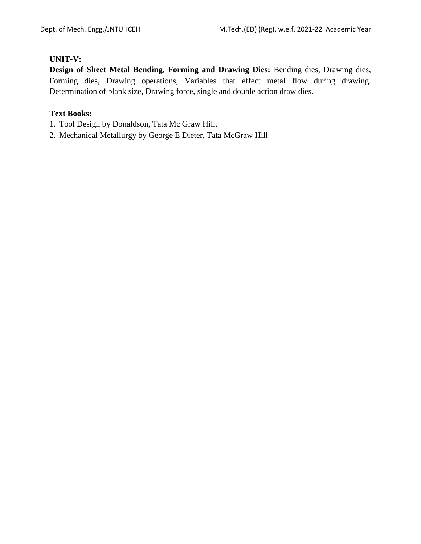### **UNIT-V:**

**Design of Sheet Metal Bending, Forming and Drawing Dies:** Bending dies, Drawing dies, Forming dies, Drawing operations, Variables that effect metal flow during drawing. Determination of blank size, Drawing force, single and double action draw dies.

### **Text Books:**

- 1. Tool Design by Donaldson, Tata Mc Graw Hill.
- 2. Mechanical Metallurgy by George E Dieter, Tata McGraw Hill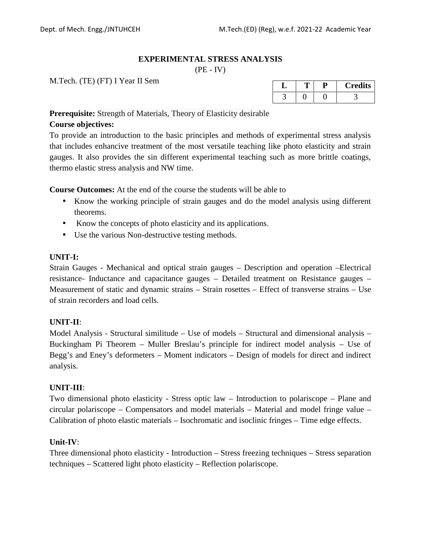### **EXPERIMENTAL STRESS ANALYSIS**

 $(PE - IV)$ 

M.Tech. (TE) (FT) I Year II Sem

|  |  | <b>Credits</b> |
|--|--|----------------|
|  |  |                |

**Prerequisite:** Strength of Materials, Theory of Elasticity desirable

### **Course objectives:**

To provide an introduction to the basic principles and methods of experimental stress analysis that includes enhancive treatment of the most versatile teaching like photo elasticity and strain gauges. It also provides the sin different experimental teaching such as more brittle coatings, thermo elastic stress analysis and NW time.

**Course Outcomes:** At the end of the course the students will be able to

- Know the working principle of strain gauges and do the model analysis using different theorems.
- Know the concepts of photo elasticity and its applications.
- Use the various Non-destructive testing methods.

### **UNIT-I:**

Strain Gauges - Mechanical and optical strain gauges – Description and operation –Electrical resistance- Inductance and capacitance gauges – Detailed treatment on Resistance gauges – Measurement of static and dynamic strains – Strain rosettes – Effect of transverse strains – Use of strain recorders and load cells.

### **UNIT-II**:

Model Analysis - Structural similitude – Use of models – Structural and dimensional analysis – Buckingham Pi Theorem – Muller Breslau's principle for indirect model analysis – Use of Begg's and Eney's deformeters – Moment indicators – Design of models for direct and indirect analysis.

### **UNIT-III**:

Two dimensional photo elasticity - Stress optic law – Introduction to polariscope – Plane and circular polariscope – Compensators and model materials – Material and model fringe value – Calibration of photo elastic materials – Isochromatic and isoclinic fringes – Time edge effects.

### **Unit-IV**:

Three dimensional photo elasticity - Introduction – Stress freezing techniques – Stress separation techniques – Scattered light photo elasticity – Reflection polariscope.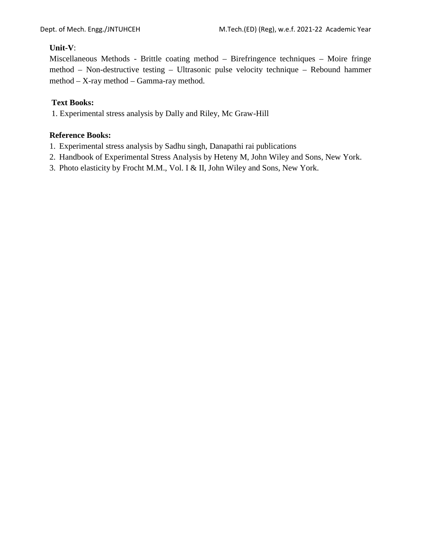### **Unit-V**:

Miscellaneous Methods - Brittle coating method – Birefringence techniques – Moire fringe method – Non-destructive testing – Ultrasonic pulse velocity technique – Rebound hammer method – X-ray method – Gamma-ray method.

### **Text Books:**

1. Experimental stress analysis by Dally and Riley, Mc Graw-Hill

- 1. Experimental stress analysis by Sadhu singh, Danapathi rai publications
- 2. Handbook of Experimental Stress Analysis by Heteny M, John Wiley and Sons, New York.
- 3. Photo elasticity by Frocht M.M., Vol. I & II, John Wiley and Sons, New York.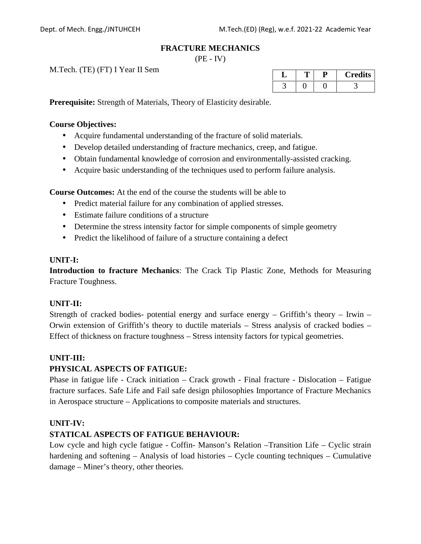#### **FRACTURE MECHANICS**

 $(PE - IV)$ 

M.Tech. (TE) (FT) I Year II Sem

| ↵ |  | <b>Credits</b> |
|---|--|----------------|
|   |  |                |

**Prerequisite:** Strength of Materials, Theory of Elasticity desirable.

#### **Course Objectives:**

- Acquire fundamental understanding of the fracture of solid materials.
- Develop detailed understanding of fracture mechanics, creep, and fatigue.
- Obtain fundamental knowledge of corrosion and environmentally-assisted cracking.
- Acquire basic understanding of the techniques used to perform failure analysis.

**Course Outcomes:** At the end of the course the students will be able to

- Predict material failure for any combination of applied stresses.
- Estimate failure conditions of a structure
- Determine the stress intensity factor for simple components of simple geometry
- Predict the likelihood of failure of a structure containing a defect

### **UNIT-I:**

**Introduction to fracture Mechanics**: The Crack Tip Plastic Zone, Methods for Measuring Fracture Toughness.

### **UNIT-II:**

Strength of cracked bodies- potential energy and surface energy – Griffith's theory – Irwin – Orwin extension of Griffith's theory to ductile materials – Stress analysis of cracked bodies – Effect of thickness on fracture toughness – Stress intensity factors for typical geometries.

### **UNIT-III:**

### **PHYSICAL ASPECTS OF FATIGUE:**

Phase in fatigue life - Crack initiation – Crack growth - Final fracture - Dislocation – Fatigue fracture surfaces. Safe Life and Fail safe design philosophies Importance of Fracture Mechanics in Aerospace structure – Applications to composite materials and structures.

### **UNIT-IV:**

# **STATICAL ASPECTS OF FATIGUE BEHAVIOUR:**

Low cycle and high cycle fatigue - Coffin- Manson's Relation –Transition Life – Cyclic strain hardening and softening – Analysis of load histories – Cycle counting techniques – Cumulative damage – Miner's theory, other theories.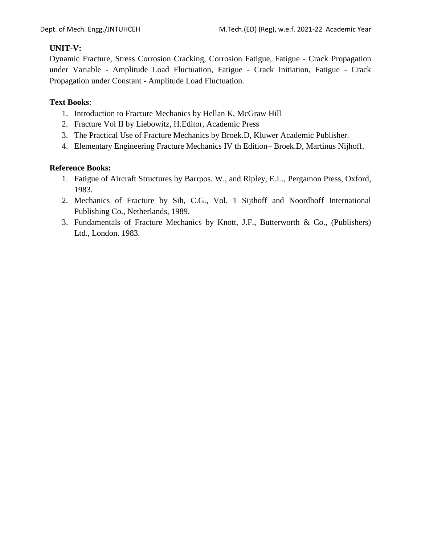# **UNIT-V:**

Dynamic Fracture, Stress Corrosion Cracking, Corrosion Fatigue, Fatigue - Crack Propagation under Variable - Amplitude Load Fluctuation, Fatigue - Crack Initiation, Fatigue - Crack Propagation under Constant - Amplitude Load Fluctuation.

### **Text Books**:

- 1. Introduction to Fracture Mechanics by Hellan K, McGraw Hill
- 2. Fracture Vol II by Liebowitz, H.Editor, Academic Press
- 3. The Practical Use of Fracture Mechanics by Broek.D, Kluwer Academic Publisher.
- 4. Elementary Engineering Fracture Mechanics IV th Edition– Broek.D, Martinus Nijhoff.

- 1. Fatigue of Aircraft Structures by Barrpos. W., and Ripley, E.L., Pergamon Press, Oxford, 1983.
- 2. Mechanics of Fracture by Sih, C.G., Vol. 1 Sijthoff and Noordhoff International Publishing Co., Netherlands, 1989.
- 3. Fundamentals of Fracture Mechanics by Knott, J.F., Butterworth & Co., (Publishers) Ltd., London. 1983.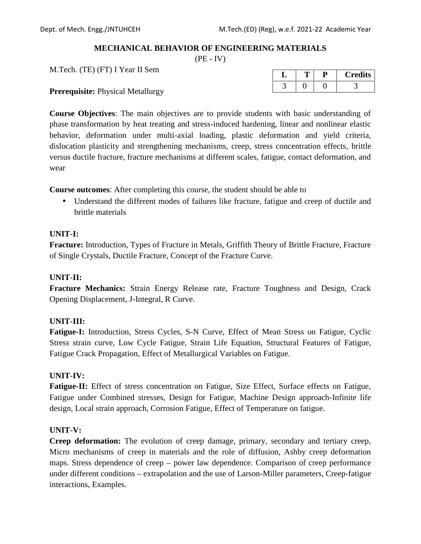### **MECHANICAL BEHAVIOR OF ENGINEERING MATERIALS**

 $(PE - IV)$ 

M.Tech. (TE) (FT) I Year II Sem

**Prerequisite:** Physical Metallurgy

| <b>U</b> |  | <b>Credits</b> |
|----------|--|----------------|
|          |  |                |

**Course Objectives**: The main objectives are to provide students with basic understanding of phase transformation by heat treating and stress-induced hardening, linear and nonlinear elastic behavior, deformation under multi-axial loading, plastic deformation and yield criteria, dislocation plasticity and strengthening mechanisms, creep, stress concentration effects, brittle versus ductile fracture, fracture mechanisms at different scales, fatigue, contact deformation, and wear

**Course outcomes**: After completing this course, the student should be able to

 Understand the different modes of failures like fracture, fatigue and creep of ductile and brittle materials

### **UNIT-I:**

**Fracture:** Introduction, Types of Fracture in Metals, Griffith Theory of Brittle Fracture, Fracture of Single Crystals, Ductile Fracture, Concept of the Fracture Curve.

### **UNIT-II:**

**Fracture Mechanics:** Strain Energy Release rate, Fracture Toughness and Design, Crack Opening Displacement, J-Integral, R Curve.

### **UNIT-III:**

**Fatigue-I:** Introduction, Stress Cycles, S-N Curve, Effect of Mean Stress on Fatigue, Cyclic Stress strain curve, Low Cycle Fatigue, Strain Life Equation, Structural Features of Fatigue, Fatigue Crack Propagation, Effect of Metallurgical Variables on Fatigue.

### **UNIT-IV:**

**Fatigue-II:** Effect of stress concentration on Fatigue, Size Effect, Surface effects on Fatigue, Fatigue under Combined stresses, Design for Fatigue, Machine Design approach-Infinite life design, Local strain approach, Corrosion Fatigue, Effect of Temperature on fatigue.

#### **UNIT-V:**

**Creep deformation:** The evolution of creep damage, primary, secondary and tertiary creep, Micro mechanisms of creep in materials and the role of diffusion, Ashby creep deformation maps. Stress dependence of creep – power law dependence. Comparison of creep performance under different conditions – extrapolation and the use of Larson-Miller parameters, Creep-fatigue interactions, Examples.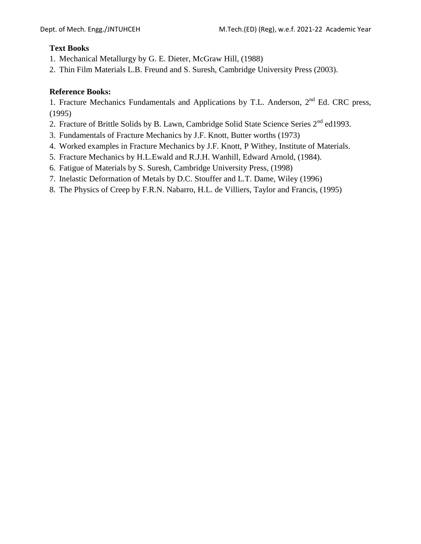# **Text Books**

- 1. Mechanical Metallurgy by G. E. Dieter, McGraw Hill, (1988)
- 2. Thin Film Materials L.B. Freund and S. Suresh, Cambridge University Press (2003).

# **Reference Books:**

1. Fracture Mechanics Fundamentals and Applications by T.L. Anderson, 2<sup>nd</sup> Ed. CRC press, (1995)

- 2. Fracture of Brittle Solids by B. Lawn, Cambridge Solid State Science Series 2<sup>nd</sup> ed1993.
- 3. Fundamentals of Fracture Mechanics by J.F. Knott, Butter worths (1973)
- 4. Worked examples in Fracture Mechanics by J.F. Knott, P Withey, Institute of Materials.
- 5. Fracture Mechanics by H.L.Ewald and R.J.H. Wanhill, Edward Arnold, (1984).
- 6. Fatigue of Materials by S. Suresh, Cambridge University Press, (1998)
- 7. Inelastic Deformation of Metals by D.C. Stouffer and L.T. Dame, Wiley (1996)
- 8. The Physics of Creep by F.R.N. Nabarro, H.L. de Villiers, Taylor and Francis, (1995)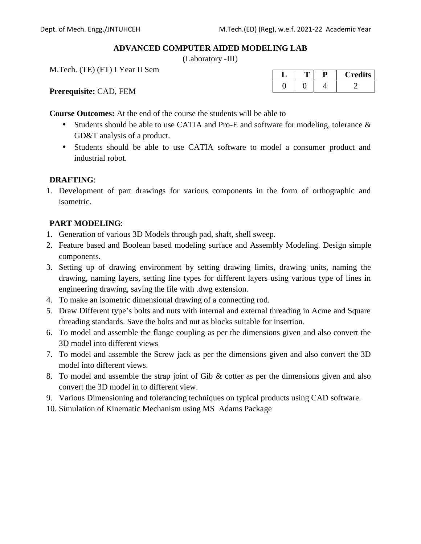### **ADVANCED COMPUTER AIDED MODELING LAB**

(Laboratory -III)

M.Tech. (TE) (FT) I Year II Sem

**L T P Credits**  $0 \mid 0 \mid 4 \mid 2$ 

**Prerequisite:** CAD, FEM

**Course Outcomes:** At the end of the course the students will be able to

- Students should be able to use CATIA and Pro-E and software for modeling, tolerance  $\&$ GD&T analysis of a product.
- Students should be able to use CATIA software to model a consumer product and industrial robot.

### **DRAFTING**:

1. Development of part drawings for various components in the form of orthographic and isometric.

# **PART MODELING**:

- 1. Generation of various 3D Models through pad, shaft, shell sweep.
- 2. Feature based and Boolean based modeling surface and Assembly Modeling. Design simple components.
- 3. Setting up of drawing environment by setting drawing limits, drawing units, naming the drawing, naming layers, setting line types for different layers using various type of lines in engineering drawing, saving the file with .dwg extension.
- 4. To make an isometric dimensional drawing of a connecting rod.
- 5. Draw Different type's bolts and nuts with internal and external threading in Acme and Square threading standards. Save the bolts and nut as blocks suitable for insertion.
- 6. To model and assemble the flange coupling as per the dimensions given and also convert the 3D model into different views
- 7. To model and assemble the Screw jack as per the dimensions given and also convert the 3D model into different views.
- 8. To model and assemble the strap joint of Gib & cotter as per the dimensions given and also convert the 3D model in to different view.
- 9. Various Dimensioning and tolerancing techniques on typical products using CAD software.
- 10. Simulation of Kinematic Mechanism using MS Adams Package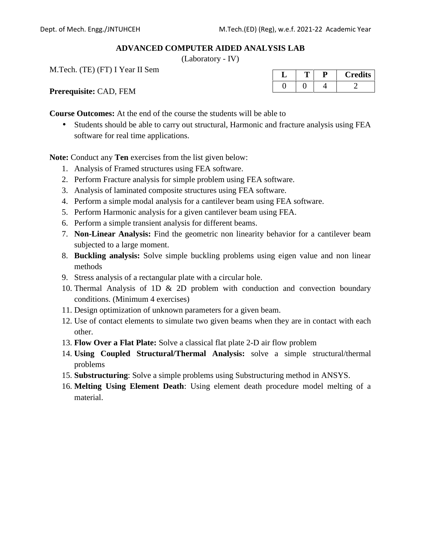#### **ADVANCED COMPUTER AIDED ANALYSIS LAB**

(Laboratory - IV)

M.Tech. (TE) (FT) I Year II Sem

**L T P Credits**  $0 \mid 0 \mid 4 \mid 2$ 

**Prerequisite:** CAD, FEM

**Course Outcomes:** At the end of the course the students will be able to

 Students should be able to carry out structural, Harmonic and fracture analysis using FEA software for real time applications.

**Note:** Conduct any **Ten** exercises from the list given below:

- 1. Analysis of Framed structures using FEA software.
- 2. Perform Fracture analysis for simple problem using FEA software.
- 3. Analysis of laminated composite structures using FEA software.
- 4. Perform a simple modal analysis for a cantilever beam using FEA software.
- 5. Perform Harmonic analysis for a given cantilever beam using FEA.
- 6. Perform a simple transient analysis for different beams.
- 7. **Non-Linear Analysis:** Find the geometric non linearity behavior for a cantilever beam subjected to a large moment.
- 8. **Buckling analysis:** Solve simple buckling problems using eigen value and non linear methods
- 9. Stress analysis of a rectangular plate with a circular hole.
- 10. Thermal Analysis of 1D & 2D problem with conduction and convection boundary conditions. (Minimum 4 exercises)
- 11. Design optimization of unknown parameters for a given beam.
- 12. Use of contact elements to simulate two given beams when they are in contact with each other.
- 13. **Flow Over a Flat Plate:** Solve a classical flat plate 2-D air flow problem
- 14. **Using Coupled Structural/Thermal Analysis:** solve a simple structural/thermal problems
- 15. **Substructuring**: Solve a simple problems using Substructuring method in ANSYS.
- 16. **Melting Using Element Death**: Using element death procedure model melting of a material.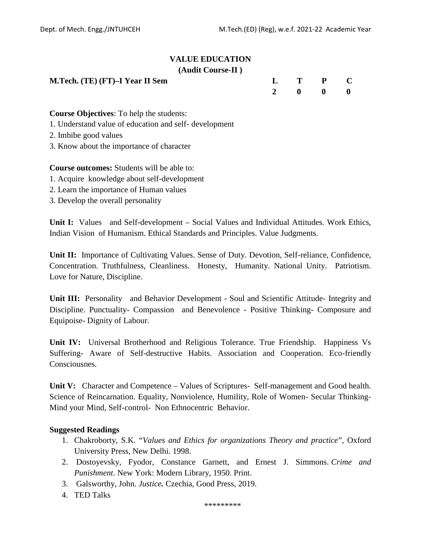### **VALUE EDUCATION (Audit Course-II )**

| M.Tech. (TE) (FT)–I Year II Sem |  |  | $L$ T P C |  |  |
|---------------------------------|--|--|-----------|--|--|
|---------------------------------|--|--|-----------|--|--|

| $\mathbf{L}$            | $\mathbf{T}$ | $\mathbf{P}$ | $\bullet$ C |  |
|-------------------------|--------------|--------------|-------------|--|
| $\overline{\mathbf{2}}$ | $\mathbf{0}$ | $\mathbf{0}$ | - 0         |  |

**Course Objectives**: To help the students:

- 1. Understand value of education and self- development
- 2. Imbibe good values
- 3. Know about the importance of character

**Course outcomes:** Students will be able to:

- 1. Acquire knowledge about self-development
- 2. Learn the importance of Human values
- 3. Develop the overall personality

**Unit I:** Values and Self-development – Social Values and Individual Attitudes. Work Ethics, Indian Vision of Humanism. Ethical Standards and Principles. Value Judgments.

**Unit II:** Importance of Cultivating Values. Sense of Duty. Devotion, Self-reliance, Confidence, Concentration. Truthfulness, Cleanliness. Honesty, Humanity. National Unity. Patriotism. Love for Nature, Discipline.

**Unit III:** Personality and Behavior Development - Soul and Scientific Attitude- Integrity and Discipline. Punctuality- Compassion and Benevolence - Positive Thinking- Composure and Equipoise- Dignity of Labour.

**Unit IV:** Universal Brotherhood and Religious Tolerance. True Friendship. Happiness Vs Suffering- Aware of Self-destructive Habits. Association and Cooperation. Eco-friendly Consciousnes.

**Unit V:** Character and Competence – Values of Scriptures- Self-management and Good health. Science of Reincarnation. Equality, Nonviolence, Humility, Role of Women- Secular Thinking- Mind your Mind, Self-control- Non Ethnocentric Behavior.

### **Suggested Readings**

- 1. Chakroborty, S.K. "*Values and Ethics for organizations Theory and practice*", Oxford University Press, New Delhi. 1998.
- 2. Dostoyevsky, Fyodor, Constance Garnett, and Ernest J. Simmons. *Crime and Punishment*. New York: Modern Library, 1950. Print.
- 3. Galsworthy, John. *Justice.* Czechia, Good Press, 2019.
- 4. TED Talks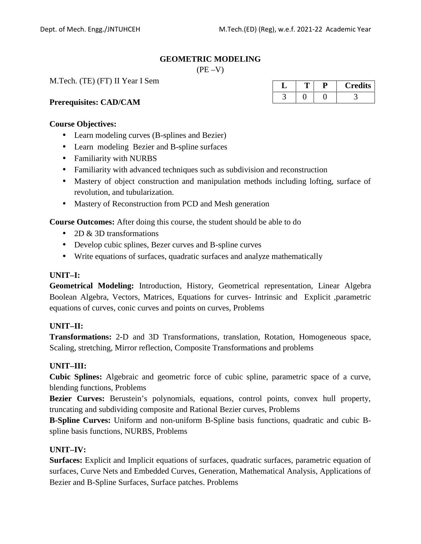#### **GEOMETRIC MODELING**

 $(PE - V)$ 

M.Tech. (TE) (FT) II Year I Sem

#### **Prerequisites: CAD/CAM**

#### **Course Objectives:**

- Learn modeling curves (B-splines and Bezier)
- Learn modeling Bezier and B-spline surfaces
- Familiarity with NURBS
- Familiarity with advanced techniques such as subdivision and reconstruction
- Mastery of object construction and manipulation methods including lofting, surface of revolution, and tubularization.
- Mastery of Reconstruction from PCD and Mesh generation

**Course Outcomes:** After doing this course, the student should be able to do

- $\bullet$  2D & 3D transformations
- Develop cubic splines, Bezer curves and B-spline curves
- Write equations of surfaces, quadratic surfaces and analyze mathematically

#### **UNIT–I:**

**Geometrical Modeling:** Introduction, History, Geometrical representation, Linear Algebra Boolean Algebra, Vectors, Matrices, Equations for curves- Intrinsic and Explicit ,parametric equations of curves, conic curves and points on curves, Problems

#### **UNIT–II:**

**Transformations:** 2-D and 3D Transformations, translation, Rotation, Homogeneous space, Scaling, stretching, Mirror reflection, Composite Transformations and problems

#### **UNIT–III:**

**Cubic Splines:** Algebraic and geometric force of cubic spline, parametric space of a curve, blending functions, Problems

**Bezier Curves:** Berustein's polynomials, equations, control points, convex hull property, truncating and subdividing composite and Rational Bezier curves, Problems

**B-Spline Curves:** Uniform and non-uniform B-Spline basis functions, quadratic and cubic B spline basis functions, NURBS, Problems

#### **UNIT–IV:**

**Surfaces:** Explicit and Implicit equations of surfaces, quadratic surfaces, parametric equation of surfaces, Curve Nets and Embedded Curves, Generation, Mathematical Analysis, Applications of Bezier and B-Spline Surfaces, Surface patches. Problems

| ◡ |  | <b>Credits</b> |
|---|--|----------------|
|   |  |                |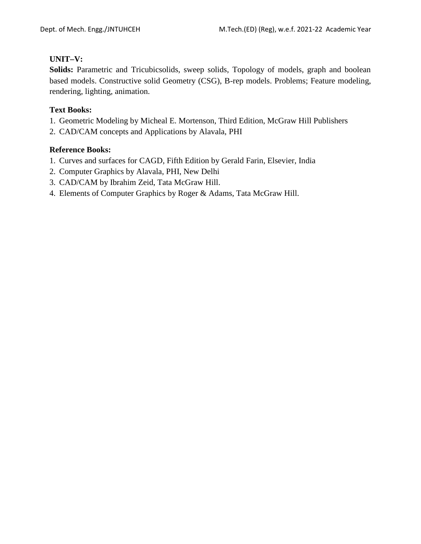### **UNIT–V:**

**Solids:** Parametric and Tricubicsolids, sweep solids, Topology of models, graph and boolean based models. Constructive solid Geometry (CSG), B-rep models. Problems; Feature modeling, rendering, lighting, animation.

### **Text Books:**

- 1. Geometric Modeling by Micheal E. Mortenson, Third Edition, McGraw Hill Publishers
- 2. CAD/CAM concepts and Applications by Alavala, PHI

- 1. Curves and surfaces for CAGD, Fifth Edition by Gerald Farin, Elsevier, India
- 2. Computer Graphics by Alavala, PHI, New Delhi
- 3. CAD/CAM by Ibrahim Zeid, Tata McGraw Hill.
- 4. Elements of Computer Graphics by Roger & Adams, Tata McGraw Hill.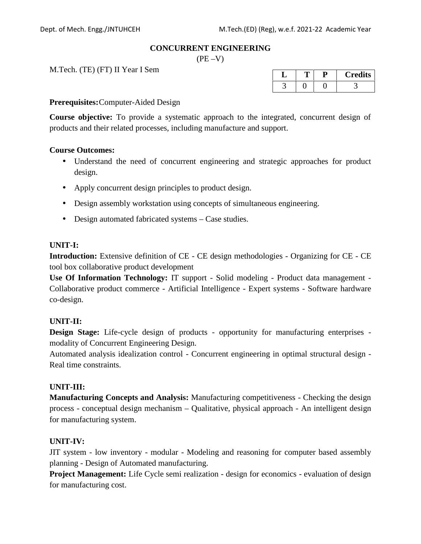#### **CONCURRENT ENGINEERING**

 $(PE -V)$ 

M.Tech. (TE) (FT) II Year I Sem

| ◡ |  | <b>Credits</b> |
|---|--|----------------|
|   |  |                |

### **Prerequisites:**Computer-Aided Design

**Course objective:** To provide a systematic approach to the integrated, concurrent design of products and their related processes, including manufacture and support.

#### **Course Outcomes:**

- Understand the need of concurrent engineering and strategic approaches for product design.
- Apply concurrent design principles to product design.
- Design assembly workstation using concepts of simultaneous engineering.
- Design automated fabricated systems Case studies.

### **UNIT-I:**

**Introduction:** Extensive definition of CE - CE design methodologies - Organizing for CE - CE tool box collaborative product development

**Use Of Information Technology:** IT support - Solid modeling - Product data management - Collaborative product commerce - Artificial Intelligence - Expert systems - Software hardware co-design.

### **UNIT-II:**

**Design Stage:** Life-cycle design of products - opportunity for manufacturing enterprises modality of Concurrent Engineering Design.

Automated analysis idealization control - Concurrent engineering in optimal structural design - Real time constraints.

### **UNIT-III:**

**Manufacturing Concepts and Analysis:** Manufacturing competitiveness - Checking the design process - conceptual design mechanism – Qualitative, physical approach - An intelligent design for manufacturing system.

### **UNIT-IV:**

JIT system - low inventory - modular - Modeling and reasoning for computer based assembly planning - Design of Automated manufacturing.

**Project Management:** Life Cycle semi realization - design for economics - evaluation of design for manufacturing cost.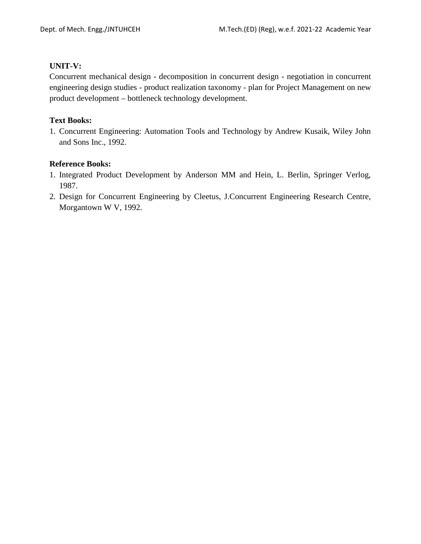### **UNIT-V:**

Concurrent mechanical design - decomposition in concurrent design - negotiation in concurrent engineering design studies - product realization taxonomy - plan for Project Management on new product development – bottleneck technology development.

### **Text Books:**

1. Concurrent Engineering: Automation Tools and Technology by Andrew Kusaik, Wiley John and Sons Inc., 1992.

- 1. Integrated Product Development by Anderson MM and Hein, L. Berlin, Springer Verlog, 1987.
- 2. Design for Concurrent Engineering by Cleetus, J.Concurrent Engineering Research Centre, Morgantown W V, 1992.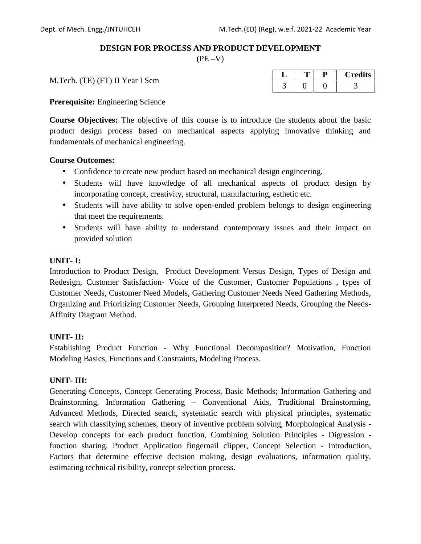### **DESIGN FOR PROCESS AND PRODUCT DEVELOPMENT**

 $(PE - V)$ 

M.Tech. (TE) (FT) II Year I Sem

| ້ |  | <b>Credits</b> |
|---|--|----------------|
|   |  |                |

**Prerequisite:** Engineering Science

**Course Objectives:** The objective of this course is to introduce the students about the basic product design process based on mechanical aspects applying innovative thinking and fundamentals of mechanical engineering.

### **Course Outcomes:**

- Confidence to create new product based on mechanical design engineering.
- Students will have knowledge of all mechanical aspects of product design by incorporating concept, creativity, structural, manufacturing, esthetic etc.
- Students will have ability to solve open-ended problem belongs to design engineering that meet the requirements.
- Students will have ability to understand contemporary issues and their impact on provided solution

### **UNIT- I:**

Introduction to Product Design, Product Development Versus Design, Types of Design and Redesign, Customer Satisfaction- Voice of the Customer, Customer Populations , types of Customer Needs, Customer Need Models, Gathering Customer Needs Need Gathering Methods, Organizing and Prioritizing Customer Needs, Grouping Interpreted Needs, Grouping the Needs- Affinity Diagram Method.

### **UNIT- II:**

Establishing Product Function - Why Functional Decomposition? Motivation, Function Modeling Basics, Functions and Constraints, Modeling Process.

### **UNIT- III:**

Generating Concepts, Concept Generating Process, Basic Methods; Information Gathering and Brainstorming, Information Gathering – Conventional Aids, Traditional Brainstorming, Advanced Methods, Directed search, systematic search with physical principles, systematic search with classifying schemes, theory of inventive problem solving, Morphological Analysis - Develop concepts for each product function, Combining Solution Principles - Digression function sharing, Product Application fingernail clipper, Concept Selection - Introduction, Factors that determine effective decision making, design evaluations, information quality, estimating technical risibility, concept selection process.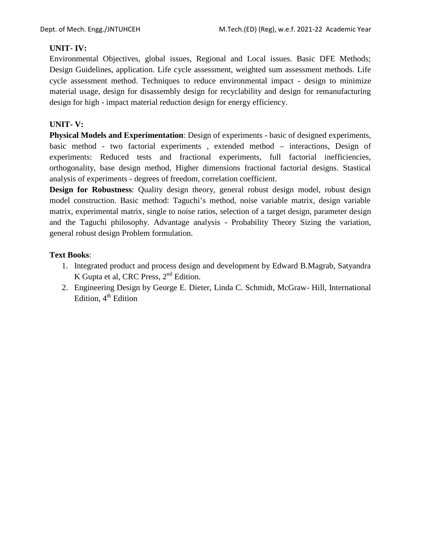### **UNIT- IV:**

Environmental Objectives, global issues, Regional and Local issues. Basic DFE Methods; Design Guidelines, application. Life cycle assessment, weighted sum assessment methods. Life cycle assessment method. Techniques to reduce environmental impact - design to minimize material usage, design for disassembly design for recyclability and design for remanufacturing design for high - impact material reduction design for energy efficiency.

### **UNIT- V:**

**Physical Models and Experimentation**: Design of experiments - basic of designed experiments, basic method - two factorial experiments , extended method – interactions, Design of experiments: Reduced tests and fractional experiments, full factorial inefficiencies, orthogonality, base design method, Higher dimensions fractional factorial designs. Stastical analysis of experiments - degrees of freedom, correlation coefficient.

**Design for Robustness**: Quality design theory, general robust design model, robust design model construction. Basic method: Taguchi's method, noise variable matrix, design variable matrix, experimental matrix, single to noise ratios, selection of a target design, parameter design and the Taguchi philosophy. Advantage analysis - Probability Theory Sizing the variation, general robust design Problem formulation.

### **Text Books**:

- 1. Integrated product and process design and development by Edward B.Magrab, Satyandra K Gupta et al, CRC Press, 2<sup>nd</sup> Edition.
- 2. Engineering Design by George E. Dieter, Linda C. Schmidt, McGraw- Hill, International Edition,  $4<sup>th</sup>$  Edition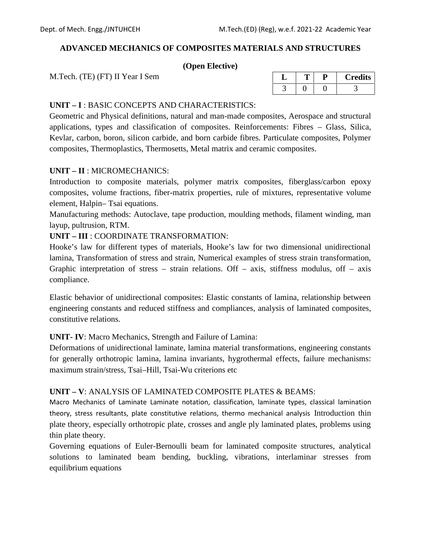### **ADVANCED MECHANICS OF COMPOSITES MATERIALS AND STRUCTURES**

### **(Open Elective)**

M.Tech. (TE) (FT) II Year I Sem

| ┙ |  | <b>Credits</b> |
|---|--|----------------|
|   |  |                |

### **UNIT – I** : BASIC CONCEPTS AND CHARACTERISTICS:

Geometric and Physical definitions, natural and man-made composites, Aerospace and structural applications, types and classification of composites. Reinforcements: Fibres – Glass, Silica, Kevlar, carbon, boron, silicon carbide, and born carbide fibres. Particulate composites, Polymer composites, Thermoplastics, Thermosetts, Metal matrix and ceramic composites.

### **UNIT – II** : MICROMECHANICS:

Introduction to composite materials, polymer matrix composites, fiberglass/carbon epoxy composites, volume fractions, fiber-matrix properties, rule of mixtures, representative volume element, Halpin– Tsai equations.

Manufacturing methods: Autoclave, tape production, moulding methods, filament winding, man layup, pultrusion, RTM.

### **UNIT – III** : COORDINATE TRANSFORMATION:

Hooke's law for different types of materials, Hooke's law for two dimensional unidirectional lamina, Transformation of stress and strain, Numerical examples of stress strain transformation, Graphic interpretation of stress – strain relations. Off – axis, stiffness modulus, off – axis compliance.

Elastic behavior of unidirectional composites: Elastic constants of lamina, relationship between engineering constants and reduced stiffness and compliances, analysis of laminated composites, constitutive relations.

#### **UNIT- IV**: Macro Mechanics, Strength and Failure of Lamina:

Deformations of unidirectional laminate, lamina material transformations, engineering constants for generally orthotropic lamina, lamina invariants, hygrothermal effects, failure mechanisms: maximum strain/stress, Tsai–Hill, Tsai-Wu criterions etc

#### **UNIT – V**: ANALYSIS OF LAMINATED COMPOSITE PLATES & BEAMS:

Macro Mechanics of Laminate Laminate notation, classification, laminate types, classical lamination theory, stress resultants, plate constitutive relations, thermo mechanical analysis Introduction thin plate theory, especially orthotropic plate, crosses and angle ply laminated plates, problems using thin plate theory.

Governing equations of Euler-Bernoulli beam for laminated composite structures, analytical solutions to laminated beam bending, buckling, vibrations, interlaminar stresses from equilibrium equations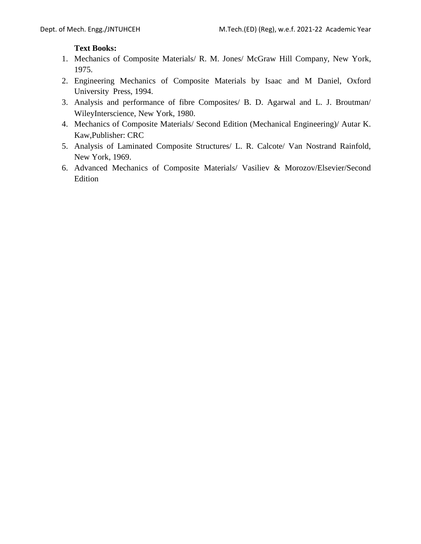### **Text Books:**

- 1. Mechanics of Composite Materials/ R. M. Jones/ McGraw Hill Company, New York, 1975.
- 2. Engineering Mechanics of Composite Materials by Isaac and M Daniel, Oxford University Press, 1994.
- 3. Analysis and performance of fibre Composites/ B. D. Agarwal and L. J. Broutman/ WileyInterscience, New York, 1980.
- 4. Mechanics of Composite Materials/ Second Edition (Mechanical Engineering)/ Autar K. Kaw,Publisher: CRC
- 5. Analysis of Laminated Composite Structures/ L. R. Calcote/ Van Nostrand Rainfold, New York, 1969.
- 6. Advanced Mechanics of Composite Materials/ Vasiliev & Morozov/Elsevier/Second Edition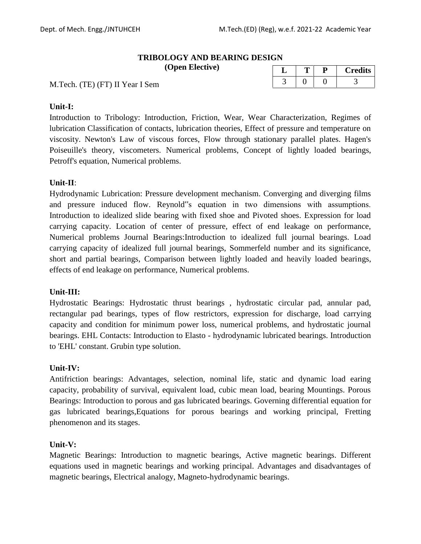### **TRIBOLOGY AND BEARING DESIGN**

**(Open Elective)**

|  | <b>Credits</b> |
|--|----------------|
|  |                |

M.Tech. (TE) (FT) II Year I Sem

### **Unit-I:**

Introduction to Tribology: Introduction, Friction, Wear, Wear Characterization, Regimes of lubrication Classification of contacts, lubrication theories, Effect of pressure and temperature on viscosity. Newton's Law of viscous forces, Flow through stationary parallel plates. Hagen's Poiseuille's theory, viscometers. Numerical problems, Concept of lightly loaded bearings, Petroff's equation, Numerical problems.

### **Unit-II**:

Hydrodynamic Lubrication: Pressure development mechanism. Converging and diverging films and pressure induced flow. Reynold"s equation in two dimensions with assumptions. Introduction to idealized slide bearing with fixed shoe and Pivoted shoes. Expression for load carrying capacity. Location of center of pressure, effect of end leakage on performance, Numerical problems Journal Bearings:Introduction to idealized full journal bearings. Load carrying capacity of idealized full journal bearings, Sommerfeld number and its significance, short and partial bearings, Comparison between lightly loaded and heavily loaded bearings, effects of end leakage on performance, Numerical problems.

### **Unit-III:**

Hydrostatic Bearings: Hydrostatic thrust bearings , hydrostatic circular pad, annular pad, rectangular pad bearings, types of flow restrictors, expression for discharge, load carrying capacity and condition for minimum power loss, numerical problems, and hydrostatic journal bearings. EHL Contacts: Introduction to Elasto - hydrodynamic lubricated bearings. Introduction to 'EHL' constant. Grubin type solution.

### **Unit-IV:**

Antifriction bearings: Advantages, selection, nominal life, static and dynamic load earing capacity, probability of survival, equivalent load, cubic mean load, bearing Mountings. Porous Bearings: Introduction to porous and gas lubricated bearings. Governing differential equation for gas lubricated bearings,Equations for porous bearings and working principal, Fretting phenomenon and its stages.

### **Unit-V:**

Magnetic Bearings: Introduction to magnetic bearings, Active magnetic bearings. Different equations used in magnetic bearings and working principal. Advantages and disadvantages of magnetic bearings, Electrical analogy, Magneto-hydrodynamic bearings.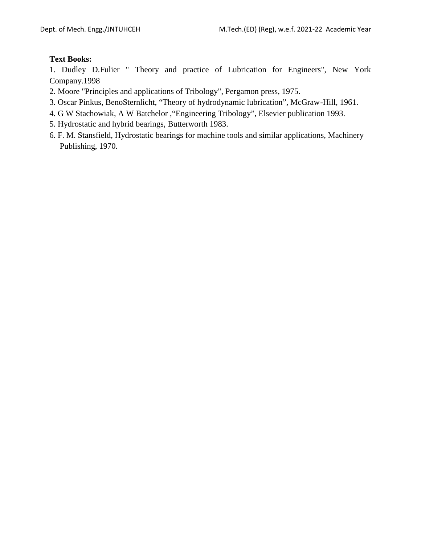### **Text Books:**

1. Dudley D.Fulier " Theory and practice of Lubrication for Engineers", New York Company.1998

- 2. Moore "Principles and applications of Tribology", Pergamon press, 1975.
- 3. Oscar Pinkus, BenoSternlicht, "Theory of hydrodynamic lubrication", McGraw-Hill, 1961.
- 4. G W Stachowiak, A W Batchelor ,"Engineering Tribology", Elsevier publication 1993.
- 5. Hydrostatic and hybrid bearings, Butterworth 1983.
- 6. F. M. Stansfield, Hydrostatic bearings for machine tools and similar applications, Machinery Publishing, 1970.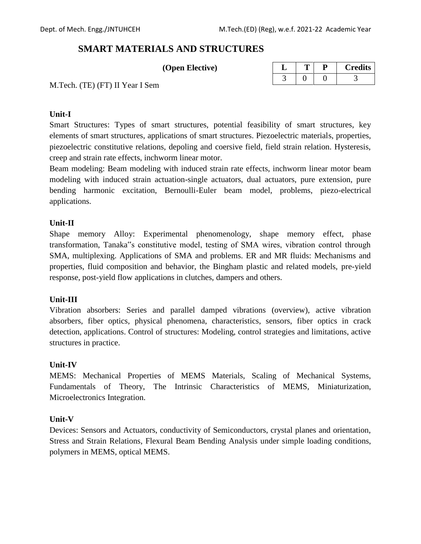# **SMART MATERIALS AND STRUCTURES**

| (Open Elective) |  |
|-----------------|--|

| ے |  | <b>Credits</b> |
|---|--|----------------|
|   |  |                |

M.Tech. (TE) (FT) II Year I Sem

### **Unit-I**

Smart Structures: Types of smart structures, potential feasibility of smart structures, key elements of smart structures, applications of smart structures. Piezoelectric materials, properties, piezoelectric constitutive relations, depoling and coersive field, field strain relation. Hysteresis, creep and strain rate effects, inchworm linear motor.

Beam modeling: Beam modeling with induced strain rate effects, inchworm linear motor beam modeling with induced strain actuation-single actuators, dual actuators, pure extension, pure bending harmonic excitation, Bernoulli-Euler beam model, problems, piezo-electrical applications.

### **Unit-II**

Shape memory Alloy: Experimental phenomenology, shape memory effect, phase transformation, Tanaka"s constitutive model, testing of SMA wires, vibration control through SMA, multiplexing. Applications of SMA and problems. ER and MR fluids: Mechanisms and properties, fluid composition and behavior, the Bingham plastic and related models, pre-yield response, post-yield flow applications in clutches, dampers and others.

### **Unit-III**

Vibration absorbers: Series and parallel damped vibrations (overview), active vibration absorbers, fiber optics, physical phenomena, characteristics, sensors, fiber optics in crack detection, applications. Control of structures: Modeling, control strategies and limitations, active structures in practice.

### **Unit-IV**

MEMS: Mechanical Properties of MEMS Materials, Scaling of Mechanical Systems, Fundamentals of Theory, The Intrinsic Characteristics of MEMS, Miniaturization, Microelectronics Integration.

### **Unit-V**

Devices: Sensors and Actuators, conductivity of Semiconductors, crystal planes and orientation, Stress and Strain Relations, Flexural Beam Bending Analysis under simple loading conditions, polymers in MEMS, optical MEMS.